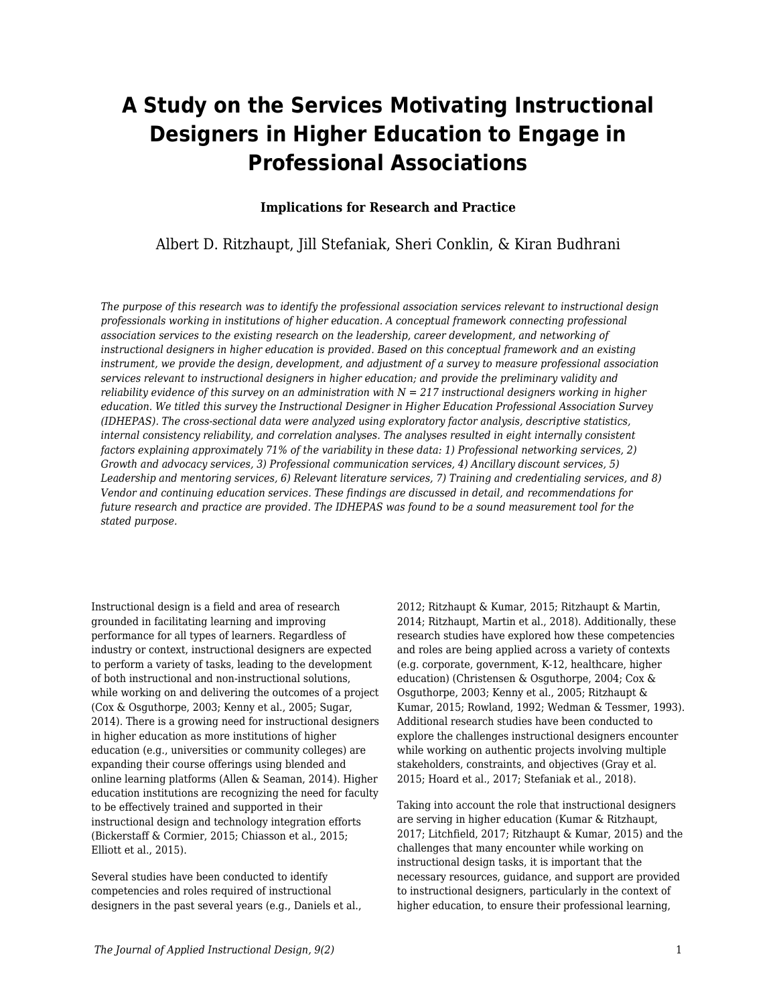# **A Study on the Services Motivating Instructional Designers in Higher Education to Engage in Professional Associations**

## **Implications for Research and Practice**

Albert D. Ritzhaupt, Jill Stefaniak, Sheri Conklin, & Kiran Budhrani

*The purpose of this research was to identify the professional association services relevant to instructional design professionals working in institutions of higher education. A conceptual framework connecting professional association services to the existing research on the leadership, career development, and networking of instructional designers in higher education is provided. Based on this conceptual framework and an existing instrument, we provide the design, development, and adjustment of a survey to measure professional association services relevant to instructional designers in higher education; and provide the preliminary validity and reliability evidence of this survey on an administration with N = 217 instructional designers working in higher education. We titled this survey the Instructional Designer in Higher Education Professional Association Survey (IDHEPAS). The cross-sectional data were analyzed using exploratory factor analysis, descriptive statistics, internal consistency reliability, and correlation analyses. The analyses resulted in eight internally consistent factors explaining approximately 71% of the variability in these data: 1) Professional networking services, 2) Growth and advocacy services, 3) Professional communication services, 4) Ancillary discount services, 5) Leadership and mentoring services, 6) Relevant literature services, 7) Training and credentialing services, and 8) Vendor and continuing education services. These findings are discussed in detail, and recommendations for future research and practice are provided. The IDHEPAS was found to be a sound measurement tool for the stated purpose.*

Instructional design is a field and area of research grounded in facilitating learning and improving performance for all types of learners. Regardless of industry or context, instructional designers are expected to perform a variety of tasks, leading to the development of both instructional and non-instructional solutions, while working on and delivering the outcomes of a project (Cox & Osguthorpe, 2003; Kenny et al., 2005; Sugar, 2014). There is a growing need for instructional designers in higher education as more institutions of higher education (e.g., universities or community colleges) are expanding their course offerings using blended and online learning platforms (Allen & Seaman, 2014). Higher education institutions are recognizing the need for faculty to be effectively trained and supported in their instructional design and technology integration efforts (Bickerstaff & Cormier, 2015; Chiasson et al., 2015; Elliott et al., 2015).

Several studies have been conducted to identify competencies and roles required of instructional designers in the past several years (e.g., Daniels et al., 2012; Ritzhaupt & Kumar, 2015; Ritzhaupt & Martin, 2014; Ritzhaupt, Martin et al., 2018). Additionally, these research studies have explored how these competencies and roles are being applied across a variety of contexts (e.g. corporate, government, K-12, healthcare, higher education) (Christensen & Osguthorpe, 2004; Cox & Osguthorpe, 2003; Kenny et al., 2005; Ritzhaupt & Kumar, 2015; Rowland, 1992; Wedman & Tessmer, 1993). Additional research studies have been conducted to explore the challenges instructional designers encounter while working on authentic projects involving multiple stakeholders, constraints, and objectives (Gray et al. 2015; Hoard et al., 2017; Stefaniak et al., 2018).

Taking into account the role that instructional designers are serving in higher education (Kumar & Ritzhaupt, 2017; Litchfield, 2017; Ritzhaupt & Kumar, 2015) and the challenges that many encounter while working on instructional design tasks, it is important that the necessary resources, guidance, and support are provided to instructional designers, particularly in the context of higher education, to ensure their professional learning,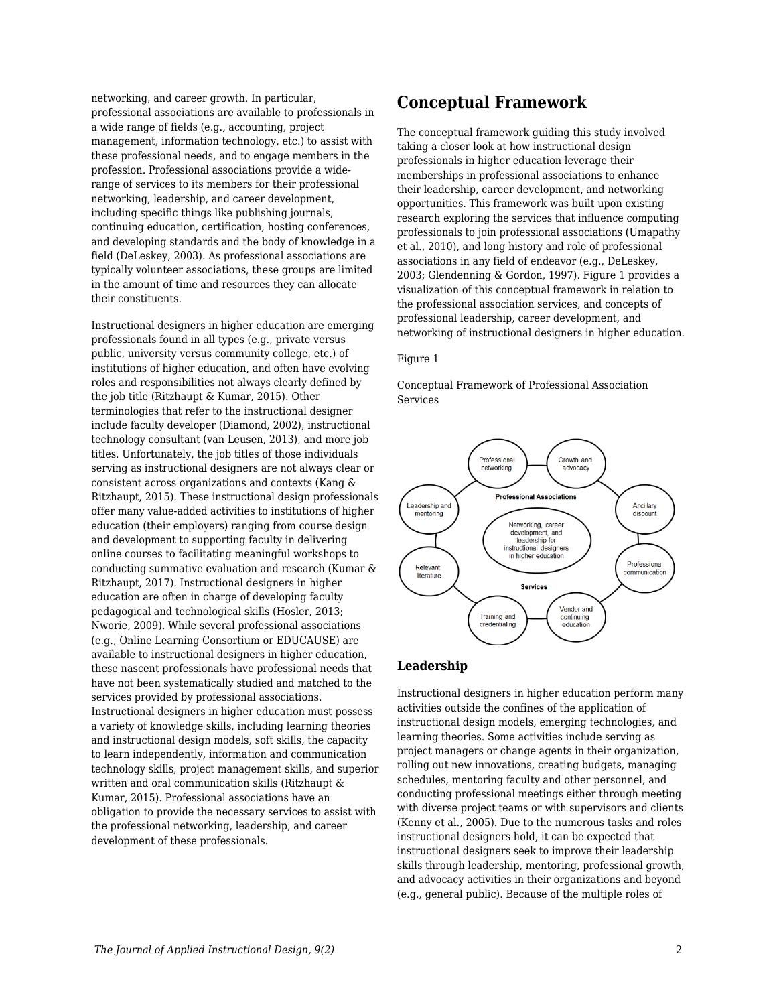networking, and career growth. In particular, professional associations are available to professionals in a wide range of fields (e.g., accounting, project management, information technology, etc.) to assist with these professional needs, and to engage members in the profession. Professional associations provide a widerange of services to its members for their professional networking, leadership, and career development, including specific things like publishing journals, continuing education, certification, hosting conferences, and developing standards and the body of knowledge in a field (DeLeskey, 2003). As professional associations are typically volunteer associations, these groups are limited in the amount of time and resources they can allocate their constituents.

Instructional designers in higher education are emerging professionals found in all types (e.g., private versus public, university versus community college, etc.) of institutions of higher education, and often have evolving roles and responsibilities not always clearly defined by the job title (Ritzhaupt & Kumar, 2015). Other terminologies that refer to the instructional designer include faculty developer (Diamond, 2002), instructional technology consultant (van Leusen, 2013), and more job titles. Unfortunately, the job titles of those individuals serving as instructional designers are not always clear or consistent across organizations and contexts (Kang & Ritzhaupt, 2015). These instructional design professionals offer many value-added activities to institutions of higher education (their employers) ranging from course design and development to supporting faculty in delivering online courses to facilitating meaningful workshops to conducting summative evaluation and research (Kumar & Ritzhaupt, 2017). Instructional designers in higher education are often in charge of developing faculty pedagogical and technological skills (Hosler, 2013; Nworie, 2009). While several professional associations (e.g., Online Learning Consortium or EDUCAUSE) are available to instructional designers in higher education, these nascent professionals have professional needs that have not been systematically studied and matched to the services provided by professional associations. Instructional designers in higher education must possess a variety of knowledge skills, including learning theories and instructional design models, soft skills, the capacity to learn independently, information and communication technology skills, project management skills, and superior written and oral communication skills (Ritzhaupt & Kumar, 2015). Professional associations have an obligation to provide the necessary services to assist with the professional networking, leadership, and career development of these professionals.

## **Conceptual Framework**

The conceptual framework guiding this study involved taking a closer look at how instructional design professionals in higher education leverage their memberships in professional associations to enhance their leadership, career development, and networking opportunities. This framework was built upon existing research exploring the services that influence computing professionals to join professional associations (Umapathy et al., 2010), and long history and role of professional associations in any field of endeavor (e.g., DeLeskey, 2003; Glendenning & Gordon, 1997). Figure 1 provides a visualization of this conceptual framework in relation to the professional association services, and concepts of professional leadership, career development, and networking of instructional designers in higher education.

#### Figure 1

Conceptual Framework of Professional Association Services



#### **Leadership**

Instructional designers in higher education perform many activities outside the confines of the application of instructional design models, emerging technologies, and learning theories. Some activities include serving as project managers or change agents in their organization, rolling out new innovations, creating budgets, managing schedules, mentoring faculty and other personnel, and conducting professional meetings either through meeting with diverse project teams or with supervisors and clients (Kenny et al., 2005). Due to the numerous tasks and roles instructional designers hold, it can be expected that instructional designers seek to improve their leadership skills through leadership, mentoring, professional growth, and advocacy activities in their organizations and beyond (e.g., general public). Because of the multiple roles of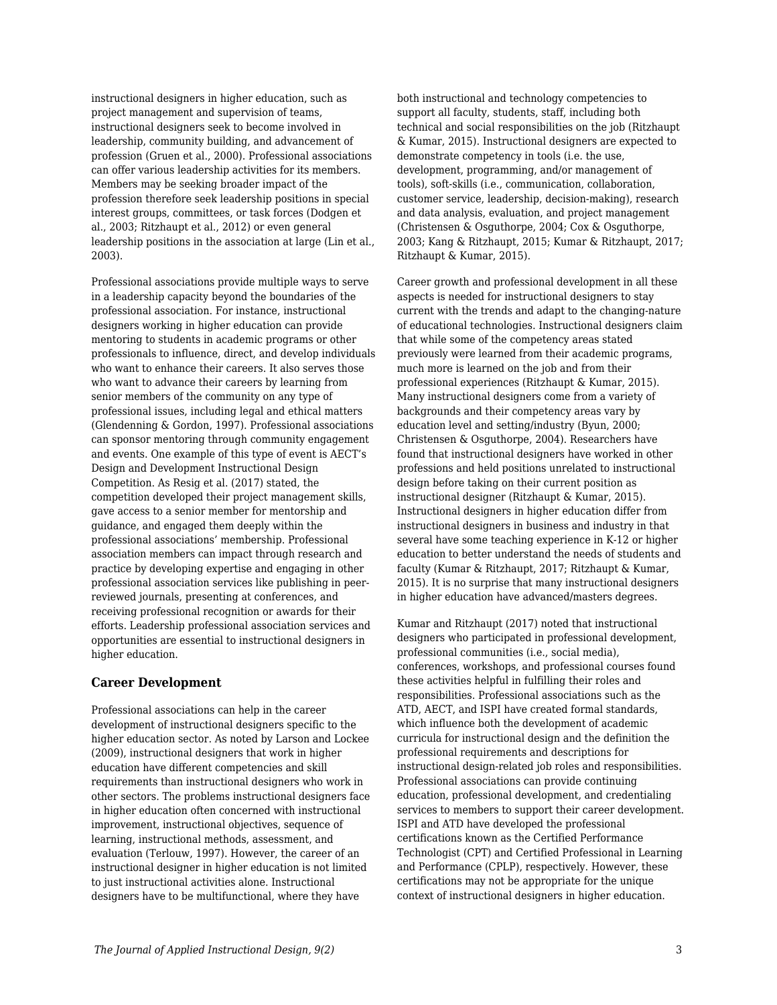instructional designers in higher education, such as project management and supervision of teams, instructional designers seek to become involved in leadership, community building, and advancement of profession (Gruen et al., 2000). Professional associations can offer various leadership activities for its members. Members may be seeking broader impact of the profession therefore seek leadership positions in special interest groups, committees, or task forces (Dodgen et al., 2003; Ritzhaupt et al., 2012) or even general leadership positions in the association at large (Lin et al., 2003).

Professional associations provide multiple ways to serve in a leadership capacity beyond the boundaries of the professional association. For instance, instructional designers working in higher education can provide mentoring to students in academic programs or other professionals to influence, direct, and develop individuals who want to enhance their careers. It also serves those who want to advance their careers by learning from senior members of the community on any type of professional issues, including legal and ethical matters (Glendenning & Gordon, 1997). Professional associations can sponsor mentoring through community engagement and events. One example of this type of event is AECT's Design and Development Instructional Design Competition. As Resig et al. (2017) stated, the competition developed their project management skills, gave access to a senior member for mentorship and guidance, and engaged them deeply within the professional associations' membership. Professional association members can impact through research and practice by developing expertise and engaging in other professional association services like publishing in peerreviewed journals, presenting at conferences, and receiving professional recognition or awards for their efforts. Leadership professional association services and opportunities are essential to instructional designers in higher education.

#### **Career Development**

Professional associations can help in the career development of instructional designers specific to the higher education sector. As noted by Larson and Lockee (2009), instructional designers that work in higher education have different competencies and skill requirements than instructional designers who work in other sectors. The problems instructional designers face in higher education often concerned with instructional improvement, instructional objectives, sequence of learning, instructional methods, assessment, and evaluation (Terlouw, 1997). However, the career of an instructional designer in higher education is not limited to just instructional activities alone. Instructional designers have to be multifunctional, where they have

both instructional and technology competencies to support all faculty, students, staff, including both technical and social responsibilities on the job (Ritzhaupt & Kumar, 2015). Instructional designers are expected to demonstrate competency in tools (i.e. the use, development, programming, and/or management of tools), soft-skills (i.e., communication, collaboration, customer service, leadership, decision-making), research and data analysis, evaluation, and project management (Christensen & Osguthorpe, 2004; Cox & Osguthorpe, 2003; Kang & Ritzhaupt, 2015; Kumar & Ritzhaupt, 2017; Ritzhaupt & Kumar, 2015).

Career growth and professional development in all these aspects is needed for instructional designers to stay current with the trends and adapt to the changing-nature of educational technologies. Instructional designers claim that while some of the competency areas stated previously were learned from their academic programs, much more is learned on the job and from their professional experiences (Ritzhaupt & Kumar, 2015). Many instructional designers come from a variety of backgrounds and their competency areas vary by education level and setting/industry (Byun, 2000; Christensen & Osguthorpe, 2004). Researchers have found that instructional designers have worked in other professions and held positions unrelated to instructional design before taking on their current position as instructional designer (Ritzhaupt & Kumar, 2015). Instructional designers in higher education differ from instructional designers in business and industry in that several have some teaching experience in K-12 or higher education to better understand the needs of students and faculty (Kumar & Ritzhaupt, 2017; Ritzhaupt & Kumar, 2015). It is no surprise that many instructional designers in higher education have advanced/masters degrees.

Kumar and Ritzhaupt (2017) noted that instructional designers who participated in professional development. professional communities (i.e., social media), conferences, workshops, and professional courses found these activities helpful in fulfilling their roles and responsibilities. Professional associations such as the ATD, AECT, and ISPI have created formal standards, which influence both the development of academic curricula for instructional design and the definition the professional requirements and descriptions for instructional design-related job roles and responsibilities. Professional associations can provide continuing education, professional development, and credentialing services to members to support their career development. ISPI and ATD have developed the professional certifications known as the Certified Performance Technologist (CPT) and Certified Professional in Learning and Performance (CPLP), respectively. However, these certifications may not be appropriate for the unique context of instructional designers in higher education.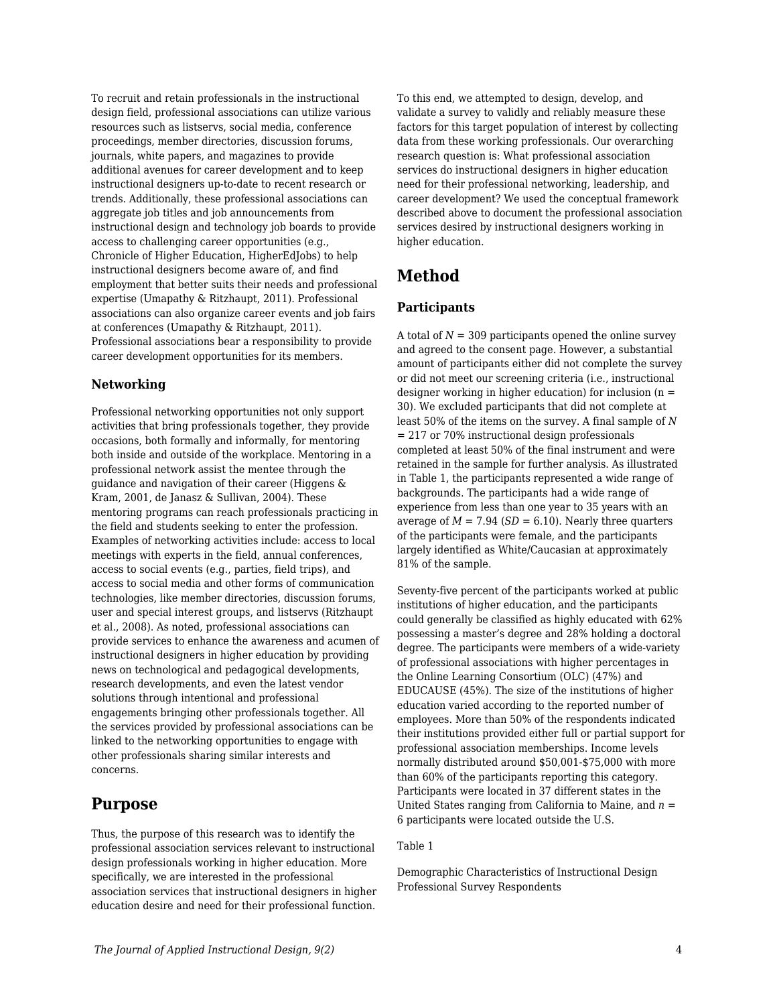To recruit and retain professionals in the instructional design field, professional associations can utilize various resources such as listservs, social media, conference proceedings, member directories, discussion forums, journals, white papers, and magazines to provide additional avenues for career development and to keep instructional designers up-to-date to recent research or trends. Additionally, these professional associations can aggregate job titles and job announcements from instructional design and technology job boards to provide access to challenging career opportunities (e.g., Chronicle of Higher Education, HigherEdJobs) to help instructional designers become aware of, and find employment that better suits their needs and professional expertise (Umapathy & Ritzhaupt, 2011). Professional associations can also organize career events and job fairs at conferences (Umapathy & Ritzhaupt, 2011). Professional associations bear a responsibility to provide career development opportunities for its members.

## **Networking**

Professional networking opportunities not only support activities that bring professionals together, they provide occasions, both formally and informally, for mentoring both inside and outside of the workplace. Mentoring in a professional network assist the mentee through the guidance and navigation of their career (Higgens & Kram, 2001, de Janasz & Sullivan, 2004). These mentoring programs can reach professionals practicing in the field and students seeking to enter the profession. Examples of networking activities include: access to local meetings with experts in the field, annual conferences, access to social events (e.g., parties, field trips), and access to social media and other forms of communication technologies, like member directories, discussion forums, user and special interest groups, and listservs (Ritzhaupt et al., 2008). As noted, professional associations can provide services to enhance the awareness and acumen of instructional designers in higher education by providing news on technological and pedagogical developments, research developments, and even the latest vendor solutions through intentional and professional engagements bringing other professionals together. All the services provided by professional associations can be linked to the networking opportunities to engage with other professionals sharing similar interests and concerns.

## **Purpose**

Thus, the purpose of this research was to identify the professional association services relevant to instructional design professionals working in higher education. More specifically, we are interested in the professional association services that instructional designers in higher education desire and need for their professional function. To this end, we attempted to design, develop, and validate a survey to validly and reliably measure these factors for this target population of interest by collecting data from these working professionals. Our overarching research question is: What professional association services do instructional designers in higher education need for their professional networking, leadership, and career development? We used the conceptual framework described above to document the professional association services desired by instructional designers working in higher education.

## **Method**

## **Participants**

A total of *N* = 309 participants opened the online survey and agreed to the consent page. However, a substantial amount of participants either did not complete the survey or did not meet our screening criteria (i.e., instructional designer working in higher education) for inclusion  $(n =$ 30). We excluded participants that did not complete at least 50% of the items on the survey. A final sample of *N* = 217 or 70% instructional design professionals completed at least 50% of the final instrument and were retained in the sample for further analysis. As illustrated in Table 1, the participants represented a wide range of backgrounds. The participants had a wide range of experience from less than one year to 35 years with an average of  $M = 7.94$  ( $SD = 6.10$ ). Nearly three quarters of the participants were female, and the participants largely identified as White/Caucasian at approximately 81% of the sample.

Seventy-five percent of the participants worked at public institutions of higher education, and the participants could generally be classified as highly educated with 62% possessing a master's degree and 28% holding a doctoral degree. The participants were members of a wide-variety of professional associations with higher percentages in the Online Learning Consortium (OLC) (47%) and EDUCAUSE (45%). The size of the institutions of higher education varied according to the reported number of employees. More than 50% of the respondents indicated their institutions provided either full or partial support for professional association memberships. Income levels normally distributed around \$50,001-\$75,000 with more than 60% of the participants reporting this category. Participants were located in 37 different states in the United States ranging from California to Maine, and *n* = 6 participants were located outside the U.S.

### Table 1

Demographic Characteristics of Instructional Design Professional Survey Respondents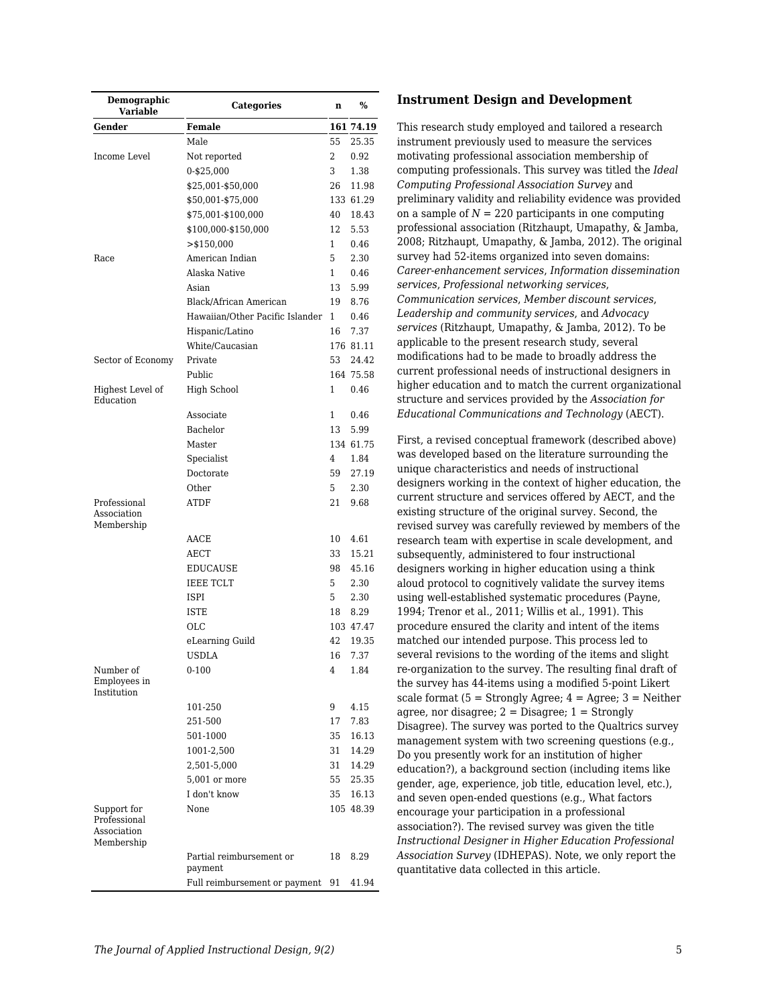| Demographic<br>Variable                                  | <b>Categories</b>                   | n            | $\%$           |
|----------------------------------------------------------|-------------------------------------|--------------|----------------|
| Gender                                                   | <b>Female</b>                       |              | 161 74.19      |
|                                                          | Male                                | 55           | 25.35          |
| Income Level                                             | Not reported                        | 2            | 0.92           |
|                                                          | 0-\$25,000                          | 3            | 1.38           |
|                                                          | \$25,001-\$50,000                   | 26           | 11.98          |
|                                                          | \$50,001-\$75,000                   |              | 133 61.29      |
|                                                          | \$75,001-\$100,000                  | 40           | 18.43          |
|                                                          | \$100,000-\$150,000                 | 12           | 5.53           |
|                                                          | $>$ \$150,000                       | 1            | 0.46           |
| Race                                                     | American Indian                     | 5            | 2.30           |
|                                                          | Alaska Native                       | $\mathbf{1}$ | 0.46           |
|                                                          | Asian                               | 13           | 5.99           |
|                                                          | Black/African American              | 19           | 8.76           |
|                                                          | Hawaiian/Other Pacific Islander     | 1            | 0.46           |
|                                                          | Hispanic/Latino                     | 16           | 7.37           |
|                                                          | White/Caucasian                     |              | 176 81.11      |
| Sector of Economy                                        | Private                             | 53           | 24.42          |
|                                                          | Public                              |              | 164 75.58      |
| Highest Level of<br>Education                            | <b>High School</b>                  | 1            | 0.46           |
|                                                          | Associate                           | 1            | 0.46           |
|                                                          | Bachelor                            | 13           | 5.99           |
|                                                          | Master                              |              | 134 61.75      |
|                                                          | Specialist                          | 4            | 1.84           |
|                                                          | Doctorate                           | 59           | 27.19          |
|                                                          | Other                               | 5            | 2.30           |
| Professional<br>Association<br>Membership                | ATDF                                | 21           | 9.68           |
|                                                          | AACE                                | 10           | 4.61           |
|                                                          | AECT                                | 33           | 15.21          |
|                                                          | EDUCAUSE                            | 98           | 45.16          |
|                                                          | <b>IEEE TCLT</b>                    | 5            | 2.30           |
|                                                          | ISPI                                | 5            | 2.30           |
|                                                          | <b>ISTE</b>                         | 18           | 8.29           |
|                                                          | OLC                                 |              | 103 47.47      |
|                                                          | eLearning Guild                     | 42           | 19.35          |
|                                                          | <b>USDLA</b>                        | 16           | 7.37           |
| Number of<br>Employees in<br>Institution                 | $0 - 100$                           | 4            | 1.84           |
|                                                          |                                     | 9            | 4.15           |
|                                                          | 101-250                             |              |                |
|                                                          | 251-500                             | 17           | 7.83           |
|                                                          | 501-1000                            | 35           | 16.13          |
|                                                          | 1001-2,500                          | 31           | 14.29          |
|                                                          | 2,501-5,000                         | 31           | 14.29          |
|                                                          | 5,001 or more<br>I don't know       | 55           | 25.35<br>16.13 |
|                                                          |                                     | 35           |                |
| Support for<br>Professional<br>Association<br>Membership | None                                |              | 105 48.39      |
|                                                          | Partial reimbursement or<br>payment | 18           | 8.29           |
|                                                          | Full reimbursement or payment       | 91           | 41.94          |

#### **Instrument Design and Development**

This research study employed and tailored a research instrument previously used to measure the services motivating professional association membership of computing professionals. This survey was titled the *Ideal Computing Professional Association Survey* and preliminary validity and reliability evidence was provided on a sample of  $N = 220$  participants in one computing professional association (Ritzhaupt, Umapathy, & Jamba, 2008; Ritzhaupt, Umapathy, & Jamba, 2012). The original survey had 52-items organized into seven domains: *Career-enhancement services*, *Information dissemination services*, *Professional networking services*, *Communication services*, *Member discount services*, *Leadership and community services*, and *Advocacy services* (Ritzhaupt, Umapathy, & Jamba, 2012). To be applicable to the present research study, several modifications had to be made to broadly address the current professional needs of instructional designers in higher education and to match the current organizational structure and services provided by the *Association for Educational Communications and Technology* (AECT).

First, a revised conceptual framework (described above) was developed based on the literature surrounding the unique characteristics and needs of instructional designers working in the context of higher education, the current structure and services offered by AECT, and the existing structure of the original survey. Second, the revised survey was carefully reviewed by members of the research team with expertise in scale development, and subsequently, administered to four instructional designers working in higher education using a think aloud protocol to cognitively validate the survey items using well-established systematic procedures (Payne, 1994; Trenor et al., 2011; Willis et al., 1991). This procedure ensured the clarity and intent of the items matched our intended purpose. This process led to several revisions to the wording of the items and slight re-organization to the survey. The resulting final draft of the survey has 44-items using a modified 5-point Likert scale format ( $5 =$  Strongly Agree;  $4 =$  Agree;  $3 =$  Neither agree, nor disagree;  $2 = Disagree; 1 = Strongly$ Disagree). The survey was ported to the Qualtrics survey management system with two screening questions (e.g., Do you presently work for an institution of higher education?), a background section (including items like gender, age, experience, job title, education level, etc.), and seven open-ended questions (e.g., What factors encourage your participation in a professional association?). The revised survey was given the title *Instructional Designer in Higher Education Professional Association Survey* (IDHEPAS). Note, we only report the quantitative data collected in this article.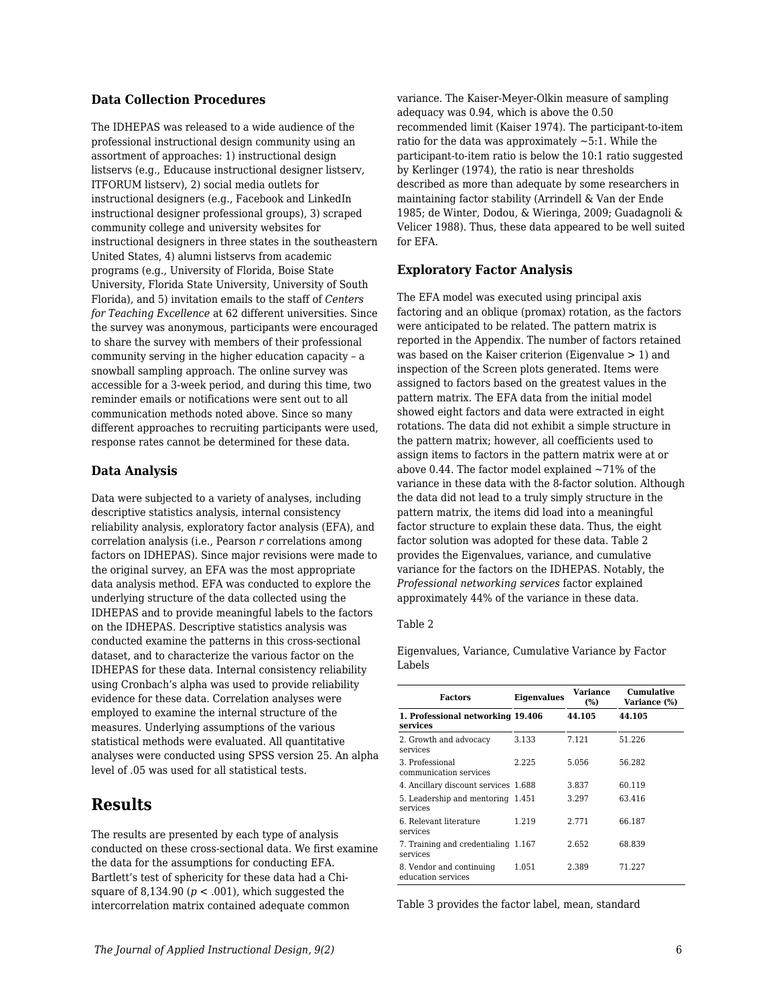### **Data Collection Procedures**

The IDHEPAS was released to a wide audience of the professional instructional design community using an assortment of approaches: 1) instructional design listservs (e.g., Educause instructional designer listserv, ITFORUM listserv), 2) social media outlets for instructional designers (e.g., Facebook and LinkedIn instructional designer professional groups), 3) scraped community college and university websites for instructional designers in three states in the southeastern United States, 4) alumni listservs from academic programs (e.g., University of Florida, Boise State University, Florida State University, University of South Florida), and 5) invitation emails to the staff of *Centers for Teaching Excellence* at 62 different universities. Since the survey was anonymous, participants were encouraged to share the survey with members of their professional community serving in the higher education capacity – a snowball sampling approach. The online survey was accessible for a 3-week period, and during this time, two reminder emails or notifications were sent out to all communication methods noted above. Since so many different approaches to recruiting participants were used, response rates cannot be determined for these data.

### **Data Analysis**

Data were subjected to a variety of analyses, including descriptive statistics analysis, internal consistency reliability analysis, exploratory factor analysis (EFA), and correlation analysis (i.e., Pearson *r* correlations among factors on IDHEPAS). Since major revisions were made to the original survey, an EFA was the most appropriate data analysis method. EFA was conducted to explore the underlying structure of the data collected using the IDHEPAS and to provide meaningful labels to the factors on the IDHEPAS. Descriptive statistics analysis was conducted examine the patterns in this cross-sectional dataset, and to characterize the various factor on the IDHEPAS for these data. Internal consistency reliability using Cronbach's alpha was used to provide reliability evidence for these data. Correlation analyses were employed to examine the internal structure of the measures. Underlying assumptions of the various statistical methods were evaluated. All quantitative analyses were conducted using SPSS version 25. An alpha level of .05 was used for all statistical tests.

## **Results**

The results are presented by each type of analysis conducted on these cross-sectional data. We first examine the data for the assumptions for conducting EFA. Bartlett's test of sphericity for these data had a Chisquare of  $8,134.90$  ( $p < .001$ ), which suggested the intercorrelation matrix contained adequate common

variance. The Kaiser-Meyer-Olkin measure of sampling adequacy was 0.94, which is above the 0.50 recommended limit (Kaiser 1974). The participant-to-item ratio for the data was approximately  $\sim$  5:1. While the participant-to-item ratio is below the 10:1 ratio suggested by Kerlinger (1974), the ratio is near thresholds described as more than adequate by some researchers in maintaining factor stability (Arrindell & Van der Ende 1985; de Winter, Dodou, & Wieringa, 2009; Guadagnoli & Velicer 1988). Thus, these data appeared to be well suited for EFA.

## **Exploratory Factor Analysis**

The EFA model was executed using principal axis factoring and an oblique (promax) rotation, as the factors were anticipated to be related. The pattern matrix is reported in the Appendix. The number of factors retained was based on the Kaiser criterion (Eigenvalue > 1) and inspection of the Screen plots generated. Items were assigned to factors based on the greatest values in the pattern matrix. The EFA data from the initial model showed eight factors and data were extracted in eight rotations. The data did not exhibit a simple structure in the pattern matrix; however, all coefficients used to assign items to factors in the pattern matrix were at or above 0.44. The factor model explained  $\sim$ 71% of the variance in these data with the 8-factor solution. Although the data did not lead to a truly simply structure in the pattern matrix, the items did load into a meaningful factor structure to explain these data. Thus, the eight factor solution was adopted for these data. Table 2 provides the Eigenvalues, variance, and cumulative variance for the factors on the IDHEPAS. Notably, the *Professional networking services* factor explained approximately 44% of the variance in these data.

#### Table 2

Eigenvalues, Variance, Cumulative Variance by Factor Labels

| <b>Factors</b>                                  | <b>Eigenvalues</b> | <b>Variance</b><br>(%) | Cumulative<br>Variance (%) |
|-------------------------------------------------|--------------------|------------------------|----------------------------|
| 1. Professional networking 19.406<br>services   |                    | 44.105                 | 44.105                     |
| 2. Growth and advocacy<br>services              | 3.133              | 7.121                  | 51.226                     |
| 3. Professional<br>communication services       | 2.225              | 5.056                  | 56.282                     |
| 4. Ancillary discount services 1.688            |                    | 3.837                  | 60.119                     |
| 5. Leadership and mentoring 1.451<br>services   |                    | 3.297                  | 63.416                     |
| 6. Relevant literature<br>services              | 1.219              | 2.771                  | 66.187                     |
| 7. Training and credentialing 1.167<br>services |                    | 2.652                  | 68.839                     |
| 8. Vendor and continuing<br>education services  | 1.051              | 2.389                  | 71.227                     |

Table 3 provides the factor label, mean, standard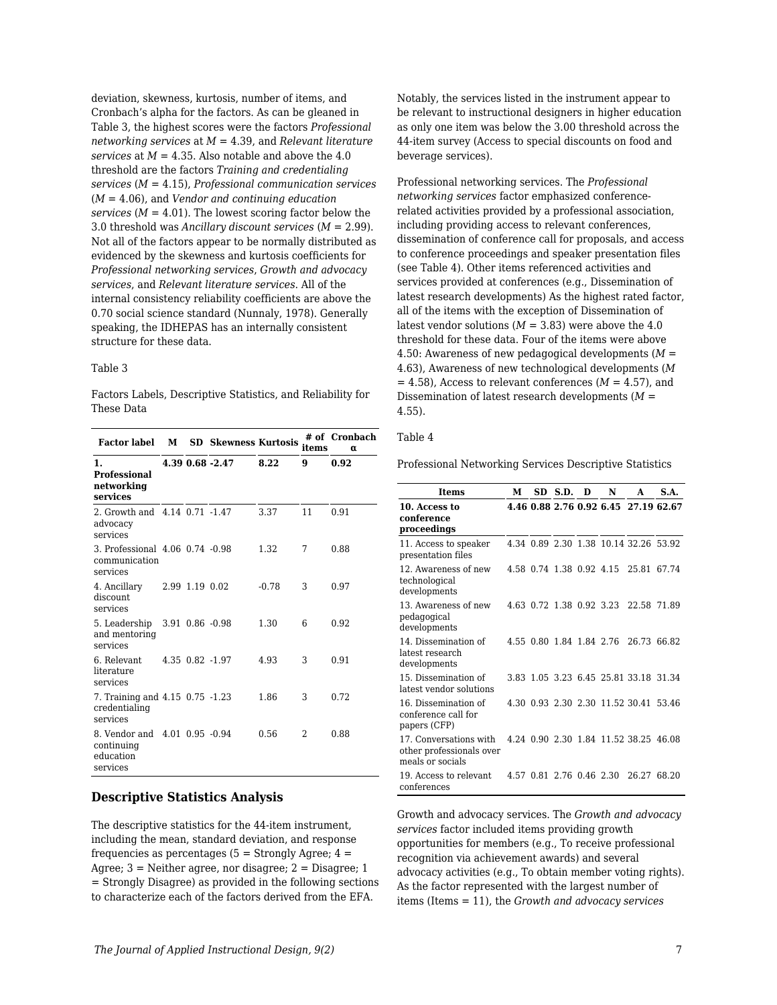deviation, skewness, kurtosis, number of items, and Cronbach's alpha for the factors. As can be gleaned in Table 3, the highest scores were the factors *Professional networking services* at *M* = 4.39, and *Relevant literature services* at  $M = 4.35$ . Also notable and above the 4.0 threshold are the factors *Training and credentialing services* (*M* = 4.15), *Professional communication services* (*M* = 4.06), and *Vendor and continuing education services*  $(M = 4.01)$ . The lowest scoring factor below the 3.0 threshold was *Ancillary discount services* (*M* = 2.99). Not all of the factors appear to be normally distributed as evidenced by the skewness and kurtosis coefficients for *Professional networking services*, *Growth and advocacy services*, and *Relevant literature services*. All of the internal consistency reliability coefficients are above the 0.70 social science standard (Nunnaly, 1978). Generally speaking, the IDHEPAS has an internally consistent structure for these data.

#### Table 3

Factors Labels, Descriptive Statistics, and Reliability for These Data

| <b>Factor label</b>                                                  | м |                 | <b>SD</b> Skewness Kurtosis |         | items | # of Cronbach<br>α |
|----------------------------------------------------------------------|---|-----------------|-----------------------------|---------|-------|--------------------|
| $\mathbf{1}$ .<br><b>Professional</b><br>networking<br>services      |   |                 | 4.39 0.68 -2.47             | 8.22    | 9     | 0.92               |
| 2. Growth and 4.14 0.71 -1.47<br>advocacy<br>services                |   |                 |                             | 3.37    | 11    | 0.91               |
| 3. Professional 4.06 0.74 -0.98<br>communication<br>services         |   |                 |                             | 1.32    | 7     | 0.88               |
| 4. Ancillary<br>discount.<br>services                                |   | 2.99 1.19 0.02  |                             | $-0.78$ | 3     | 0.97               |
| 5. Leadership<br>and mentoring<br>services                           |   | 3.91 0.86 -0.98 |                             | 1.30    | 6     | 0.92               |
| 6. Relevant<br>literature<br>services                                |   | 4.35 0.82 -1.97 |                             | 4.93    | 3     | 0.91               |
| 7. Training and 4.15 0.75 -1.23<br>credentialing<br>services         |   |                 |                             | 1.86    | 3     | 0.72               |
| 8. Vendor and 4.01 0.95 -0.94<br>continuing<br>education<br>services |   |                 |                             | 0.56    | 2     | 0.88               |

### **Descriptive Statistics Analysis**

The descriptive statistics for the 44-item instrument, including the mean, standard deviation, and response frequencies as percentages  $(5 =$  Strongly Agree;  $4 =$ Agree:  $3$  = Neither agree, nor disagree:  $2$  = Disagree: 1 = Strongly Disagree) as provided in the following sections to characterize each of the factors derived from the EFA.

Notably, the services listed in the instrument appear to be relevant to instructional designers in higher education as only one item was below the 3.00 threshold across the 44-item survey (Access to special discounts on food and beverage services).

Professional networking services. The *Professional networking services* factor emphasized conferencerelated activities provided by a professional association, including providing access to relevant conferences, dissemination of conference call for proposals, and access to conference proceedings and speaker presentation files (see Table 4). Other items referenced activities and services provided at conferences (e.g., Dissemination of latest research developments) As the highest rated factor, all of the items with the exception of Dissemination of latest vendor solutions  $(M = 3.83)$  were above the 4.0 threshold for these data. Four of the items were above 4.50: Awareness of new pedagogical developments (*M* = 4.63), Awareness of new technological developments (*M*  $= 4.58$ ), Access to relevant conferences ( $M = 4.57$ ), and Dissemination of latest research developments (*M* = 4.55).

### Table 4

Professional Networking Services Descriptive Statistics

| Items                                                                  | М    |                          | SD S.D.             | D | N                        | A                                     | S.A.  |
|------------------------------------------------------------------------|------|--------------------------|---------------------|---|--------------------------|---------------------------------------|-------|
| 10. Access to<br>conference<br>proceedings                             |      |                          |                     |   |                          | 4.46 0.88 2.76 0.92 6.45 27.19 62.67  |       |
| 11. Access to speaker<br>presentation files                            |      |                          |                     |   |                          | 4.34 0.89 2.30 1.38 10.14 32.26 53.92 |       |
| 12. Awareness of new<br>technological<br>developments                  |      | 4.58 0.74 1.38 0.92 4.15 |                     |   |                          | 25.81                                 | 67.74 |
| 13. Awareness of new<br>pedagogical<br>developments                    |      |                          |                     |   | 4.63 0.72 1.38 0.92 3.23 | 22.58 71.89                           |       |
| 14. Dissemination of<br>latest research<br>developments                | 4.55 |                          | 0.80 1.84 1.84 2.76 |   |                          | 26.73                                 | 66.82 |
| 15. Dissemination of<br>latest vendor solutions                        |      |                          |                     |   |                          | 3.83 1.05 3.23 6.45 25.81 33.18 31.34 |       |
| 16. Dissemination of<br>conference call for<br>papers (CFP)            |      |                          |                     |   |                          | 4.30 0.93 2.30 2.30 11.52 30.41       | 53.46 |
| 17. Conversations with<br>other professionals over<br>meals or socials |      |                          |                     |   |                          | 4.24 0.90 2.30 1.84 11.52 38.25 46.08 |       |
| 19. Access to relevant<br>conferences                                  |      | 4.57 0.81 2.76 0.46 2.30 |                     |   |                          | 26.27                                 | 68.20 |

Growth and advocacy services. The *Growth and advocacy services* factor included items providing growth opportunities for members (e.g., To receive professional recognition via achievement awards) and several advocacy activities (e.g., To obtain member voting rights). As the factor represented with the largest number of items (Items = 11), the *Growth and advocacy services*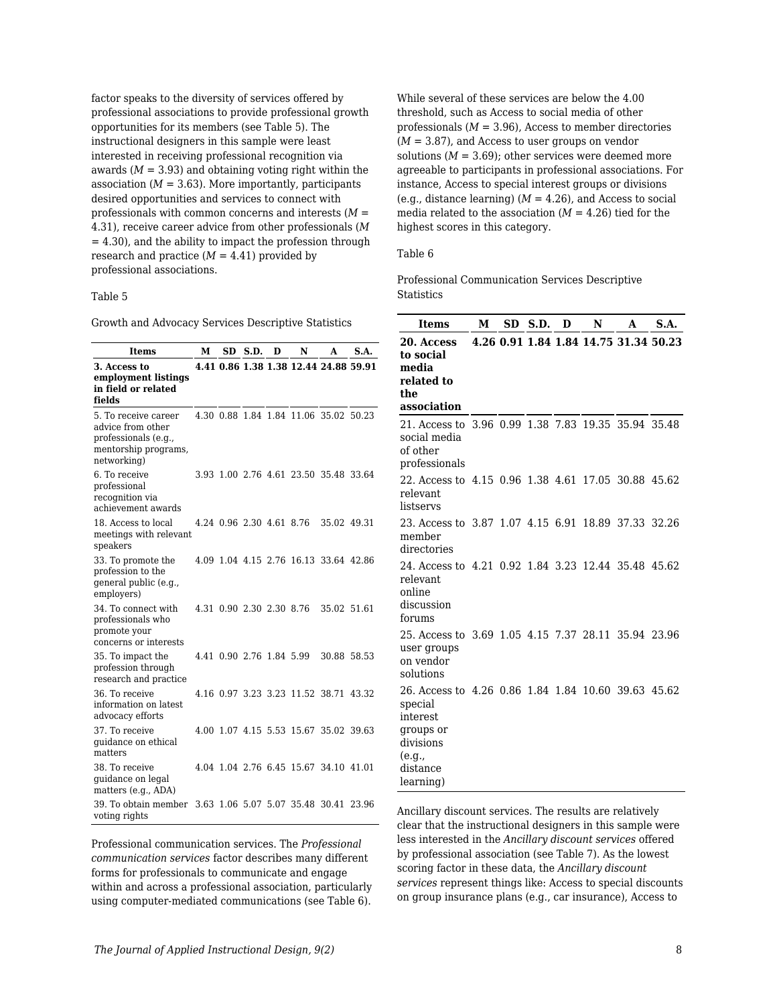factor speaks to the diversity of services offered by professional associations to provide professional growth opportunities for its members (see Table 5). The instructional designers in this sample were least interested in receiving professional recognition via awards  $(M = 3.93)$  and obtaining voting right within the association  $(M = 3.63)$ . More importantly, participants desired opportunities and services to connect with professionals with common concerns and interests (*M* = 4.31), receive career advice from other professionals (*M*  $= 4.30$ , and the ability to impact the profession through research and practice  $(M = 4.41)$  provided by professional associations.

#### Table 5

Growth and Advocacy Services Descriptive Statistics

| <b>Items</b>                                                                                             | м | SD | S.D. | D | N                        | A                                     | S.A. |
|----------------------------------------------------------------------------------------------------------|---|----|------|---|--------------------------|---------------------------------------|------|
| 3. Access to<br>employment listings<br>in field or related<br>fields                                     |   |    |      |   |                          | 4.41 0.86 1.38 1.38 12.44 24.88 59.91 |      |
| 5. To receive career<br>advice from other<br>professionals (e.g.,<br>mentorship programs,<br>networking) |   |    |      |   |                          | 4.30 0.88 1.84 1.84 11.06 35.02 50.23 |      |
| 6. To receive<br>professional<br>recognition via<br>achievement awards                                   |   |    |      |   |                          | 3.93 1.00 2.76 4.61 23.50 35.48 33.64 |      |
| 18. Access to local<br>meetings with relevant<br>speakers                                                |   |    |      |   | 4.24 0.96 2.30 4.61 8.76 | 35.02 49.31                           |      |
| 33. To promote the<br>profession to the<br>general public (e.g.,<br>employers)                           |   |    |      |   |                          | 4.09 1.04 4.15 2.76 16.13 33.64 42.86 |      |
| 34. To connect with<br>professionals who<br>promote your<br>concerns or interests                        |   |    |      |   | 4.31 0.90 2.30 2.30 8.76 | 35.02 51.61                           |      |
| 35. To impact the<br>profession through<br>research and practice                                         |   |    |      |   | 4.41 0.90 2.76 1.84 5.99 | 30.88 58.53                           |      |
| 36. To receive<br>information on latest<br>advocacy efforts                                              |   |    |      |   |                          | 4.16 0.97 3.23 3.23 11.52 38.71 43.32 |      |
| 37. To receive<br>guidance on ethical<br>matters                                                         |   |    |      |   |                          | 4.00 1.07 4.15 5.53 15.67 35.02 39.63 |      |
| 38. To receive<br>quidance on legal<br>matters (e.g., ADA)                                               |   |    |      |   |                          | 4.04 1.04 2.76 6.45 15.67 34.10 41.01 |      |
| 39. To obtain member 3.63 1.06 5.07 5.07 35.48 30.41 23.96<br>voting rights                              |   |    |      |   |                          |                                       |      |

Professional communication services. The *Professional communication services* factor describes many different forms for professionals to communicate and engage within and across a professional association, particularly using computer-mediated communications (see Table 6). While several of these services are below the 4.00 threshold, such as Access to social media of other professionals  $(M = 3.96)$ , Access to member directories (*M* = 3.87), and Access to user groups on vendor solutions  $(M = 3.69)$ ; other services were deemed more agreeable to participants in professional associations. For instance, Access to special interest groups or divisions (e.g., distance learning)  $(M = 4.26)$ , and Access to social media related to the association  $(M = 4.26)$  tied for the highest scores in this category.

#### Table 6

Professional Communication Services Descriptive **Statistics** 

| <b>Items</b>                                                                                                                            | М<br>SD.<br>S.D.<br>D |  | N | A |                                       |  |  |
|-----------------------------------------------------------------------------------------------------------------------------------------|-----------------------|--|---|---|---------------------------------------|--|--|
| 20. Access<br>to social<br>media<br>related to<br>the<br>association                                                                    |                       |  |   |   | 4.26 0.91 1.84 1.84 14.75 31.34 50.23 |  |  |
| 21. Access to 3.96 0.99 1.38 7.83 19.35 35.94 35.48<br>social media<br>of other<br>professionals                                        |                       |  |   |   |                                       |  |  |
| 22. Access to 4.15 0.96 1.38 4.61 17.05 30.88 45.62<br>relevant.<br>listservs                                                           |                       |  |   |   |                                       |  |  |
| 23. Access to 3.87 1.07 4.15 6.91 18.89 37.33 32.26<br>member<br>directories                                                            |                       |  |   |   |                                       |  |  |
| 24. Access to 4.21 0.92 1.84 3.23 12.44 35.48 45.62<br>relevant.<br>online<br>discussion<br>forums                                      |                       |  |   |   |                                       |  |  |
| 25. Access to 3.69 1.05 4.15 7.37 28.11 35.94 23.96<br>user groups<br>on vendor<br>solutions                                            |                       |  |   |   |                                       |  |  |
| 26. Access to 4.26 0.86 1.84 1.84 10.60 39.63 45.62<br>special<br>interest<br>groups or<br>divisions<br>(e.g.,<br>distance<br>learning) |                       |  |   |   |                                       |  |  |

Ancillary discount services. The results are relatively clear that the instructional designers in this sample were less interested in the *Ancillary discount services* offered by professional association (see Table 7). As the lowest scoring factor in these data, the *Ancillary discount services* represent things like: Access to special discounts on group insurance plans (e.g., car insurance), Access to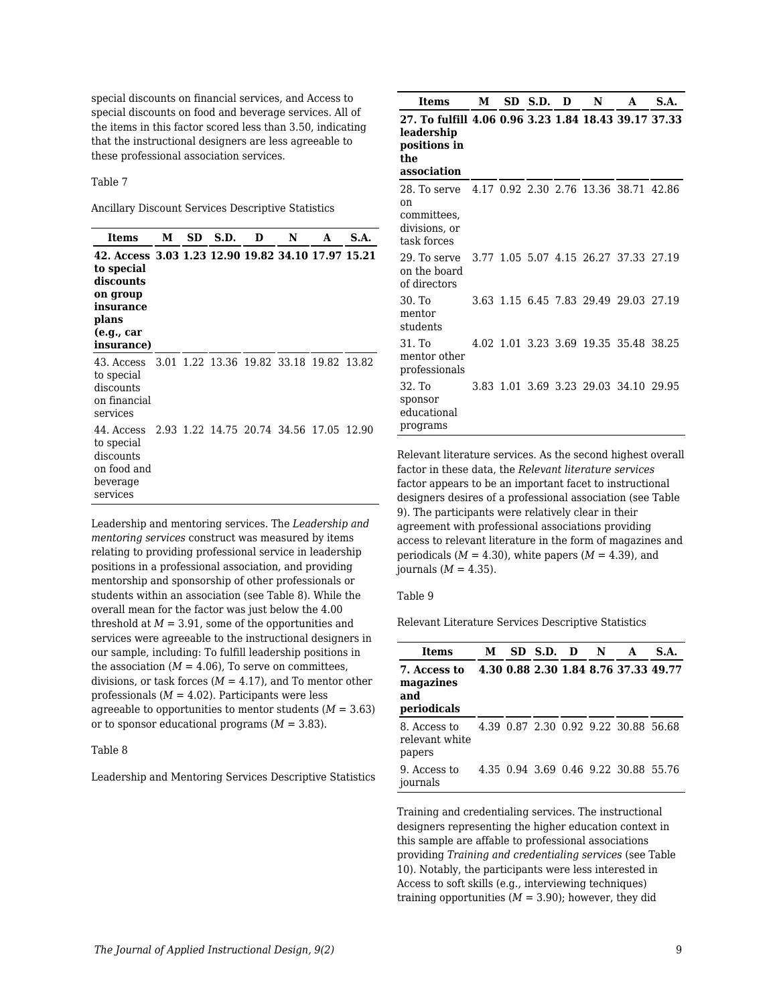special discounts on financial services, and Access to special discounts on food and beverage services. All of the items in this factor scored less than 3.50, indicating that the instructional designers are less agreeable to these professional association services.

Table 7

Ancillary Discount Services Descriptive Statistics

| Items                                                                                                                                       | М | SD | S.D. | D | N                                       | A | S.A. |
|---------------------------------------------------------------------------------------------------------------------------------------------|---|----|------|---|-----------------------------------------|---|------|
| 42. Access 3.03 1.23 12.90 19.82 34.10 17.97 15.21<br>to special<br>discounts<br>on group<br>insurance<br>plans<br>(e.g., car<br>insurance) |   |    |      |   |                                         |   |      |
| 43. Access<br>to special<br>discounts<br>on financial<br>services                                                                           |   |    |      |   | 3.01 1.22 13.36 19.82 33.18 19.82 13.82 |   |      |
| 44. Access<br>to special<br>discounts<br>on food and<br>beverage<br>services                                                                |   |    |      |   | 2.93 1.22 14.75 20.74 34.56 17.05 12.90 |   |      |

Leadership and mentoring services. The *Leadership and mentoring services* construct was measured by items relating to providing professional service in leadership positions in a professional association, and providing mentorship and sponsorship of other professionals or students within an association (see Table 8). While the overall mean for the factor was just below the 4.00 threshold at  $M = 3.91$ , some of the opportunities and services were agreeable to the instructional designers in our sample, including: To fulfill leadership positions in the association  $(M = 4.06)$ , To serve on committees, divisions, or task forces  $(M = 4.17)$ , and To mentor other professionals  $(M = 4.02)$ . Participants were less agreeable to opportunities to mentor students  $(M = 3.63)$ or to sponsor educational programs  $(M = 3.83)$ .

#### Table 8

Leadership and Mentoring Services Descriptive Statistics

| Items                                                                                                               | М | SD S.D. | - D | N | A                                     | S.A. |
|---------------------------------------------------------------------------------------------------------------------|---|---------|-----|---|---------------------------------------|------|
| 27. To fulfill 4.06 0.96 3.23 1.84 18.43 39.17 37.33<br>leadership<br>positions in<br>the<br>association            |   |         |     |   |                                       |      |
| 28. To serve 4.17 0.92 2.30 2.76 13.36 38.71 42.86<br><sub>0</sub> n<br>committees,<br>divisions, or<br>task forces |   |         |     |   |                                       |      |
| 29. To serve<br>on the board<br>of directors                                                                        |   |         |     |   | 3.77 1.05 5.07 4.15 26.27 37.33 27.19 |      |
| 30. To<br>mentor<br>students                                                                                        |   |         |     |   | 3.63 1.15 6.45 7.83 29.49 29.03 27.19 |      |
| 31. To<br>mentor other<br>professionals                                                                             |   |         |     |   | 4.02 1.01 3.23 3.69 19.35 35.48 38.25 |      |
| 32. To<br>sponsor<br>educational<br>programs                                                                        |   |         |     |   | 3.83 1.01 3.69 3.23 29.03 34.10 29.95 |      |

Relevant literature services. As the second highest overall factor in these data, the *Relevant literature services* factor appears to be an important facet to instructional designers desires of a professional association (see Table 9). The participants were relatively clear in their agreement with professional associations providing access to relevant literature in the form of magazines and periodicals  $(M = 4.30)$ , white papers  $(M = 4.39)$ , and journals  $(M = 4.35)$ .

#### Table 9

Relevant Literature Services Descriptive Statistics

| Items                                           | М | SD S.D. D | N | A                                    | S.A. |
|-------------------------------------------------|---|-----------|---|--------------------------------------|------|
| 7. Access to<br>magazines<br>and<br>periodicals |   |           |   | 4.30 0.88 2.30 1.84 8.76 37.33 49.77 |      |
| 8. Access to<br>relevant white<br>papers        |   |           |   | 4.39 0.87 2.30 0.92 9.22 30.88 56.68 |      |
| 9. Access to<br>journals                        |   |           |   | 4.35 0.94 3.69 0.46 9.22 30.88 55.76 |      |

Training and credentialing services. The instructional designers representing the higher education context in this sample are affable to professional associations providing *Training and credentialing services* (see Table 10). Notably, the participants were less interested in Access to soft skills (e.g., interviewing techniques) training opportunities  $(M = 3.90)$ ; however, they did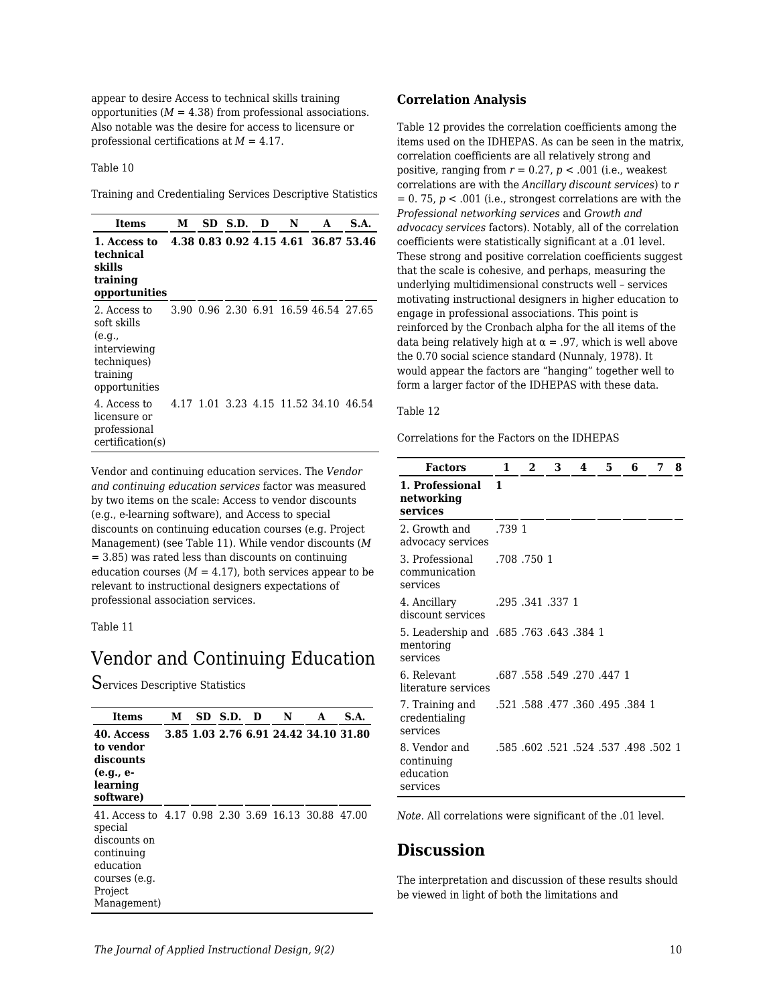appear to desire Access to technical skills training opportunities  $(M = 4.38)$  from professional associations. Also notable was the desire for access to licensure or professional certifications at *M* = 4.17.

Table 10

Training and Credentialing Services Descriptive Statistics

| Items                                                                                             | М | SD S.D. | D | N | A                                     | S.A. |
|---------------------------------------------------------------------------------------------------|---|---------|---|---|---------------------------------------|------|
| 1. Access to<br>technical<br>skills<br>training<br>opportunities                                  |   |         |   |   | 4.38 0.83 0.92 4.15 4.61 36.87 53.46  |      |
| 2. Access to<br>soft skills<br>(e.g.,<br>interviewing<br>techniques)<br>training<br>opportunities |   |         |   |   | 3.90 0.96 2.30 6.91 16.59 46.54 27.65 |      |
| 4. Access to<br>licensure or<br>professional<br>certification(s)                                  |   |         |   |   | 4.17 1.01 3.23 4.15 11.52 34.10 46.54 |      |

Vendor and continuing education services. The *Vendor and continuing education services* factor was measured by two items on the scale: Access to vendor discounts (e.g., e-learning software), and Access to special discounts on continuing education courses (e.g. Project Management) (see Table 11). While vendor discounts (*M* = 3.85) was rated less than discounts on continuing education courses  $(M = 4.17)$ , both services appear to be relevant to instructional designers expectations of professional association services.

Table 11

## Vendor and Continuing Education

Services Descriptive Statistics

| Items                                                                                                                                                | м | SD S.D. | D | N                                     | A | S.A. |
|------------------------------------------------------------------------------------------------------------------------------------------------------|---|---------|---|---------------------------------------|---|------|
| 40. Access<br>to vendor<br>discounts<br>(e.g., e-<br>learning<br>software)                                                                           |   |         |   | 3.85 1.03 2.76 6.91 24.42 34.10 31.80 |   |      |
| 41. Access to 4.17 0.98 2.30 3.69 16.13 30.88 47.00<br>special<br>discounts on<br>continuing<br>education<br>courses (e.g.<br>Project<br>Management) |   |         |   |                                       |   |      |

#### **Correlation Analysis**

Table 12 provides the correlation coefficients among the items used on the IDHEPAS. As can be seen in the matrix, correlation coefficients are all relatively strong and positive, ranging from  $r = 0.27$ ,  $p < .001$  (i.e., weakest correlations are with the *Ancillary discount services*) to *r*  $= 0.75$ ,  $p < .001$  (i.e., strongest correlations are with the *Professional networking services* and *Growth and advocacy services* factors). Notably, all of the correlation coefficients were statistically significant at a .01 level. These strong and positive correlation coefficients suggest that the scale is cohesive, and perhaps, measuring the underlying multidimensional constructs well – services motivating instructional designers in higher education to engage in professional associations. This point is reinforced by the Cronbach alpha for the all items of the data being relatively high at  $\alpha = .97$ , which is well above the 0.70 social science standard (Nunnaly, 1978). It would appear the factors are "hanging" together well to form a larger factor of the IDHEPAS with these data.

#### Table 12

Correlations for the Factors on the IDHEPAS

| <b>Factors</b>                                                   | 1      | 2                                        | 3 | 4 | 5 | 6 | 7 | 8 |
|------------------------------------------------------------------|--------|------------------------------------------|---|---|---|---|---|---|
| 1. Professional<br>networking<br>services                        | 1      |                                          |   |   |   |   |   |   |
| 2. Growth and<br>advocacy services                               | .739 1 |                                          |   |   |   |   |   |   |
| 3. Professional<br>communication<br>services                     |        | .708.7501                                |   |   |   |   |   |   |
| 4. Ancillary<br>discount services                                |        | .295 .341 .337 1                         |   |   |   |   |   |   |
| 5. Leadership and .685. 763. 643. 384 1<br>mentoring<br>services |        |                                          |   |   |   |   |   |   |
| 6. Relevant<br>literature services                               |        | .687, 270, 447, 558, 687, 558            |   |   |   |   |   |   |
| 7. Training and<br>credentialing<br>services                     |        | .521 .588 .477 .360 .495 .384 1          |   |   |   |   |   |   |
| 8. Vendor and<br>continuing<br>education<br>services             |        | .585, 498, 537, 524, 537, 602, 602, 585, |   |   |   |   |   |   |

*Note.* All correlations were significant of the .01 level.

## **Discussion**

The interpretation and discussion of these results should be viewed in light of both the limitations and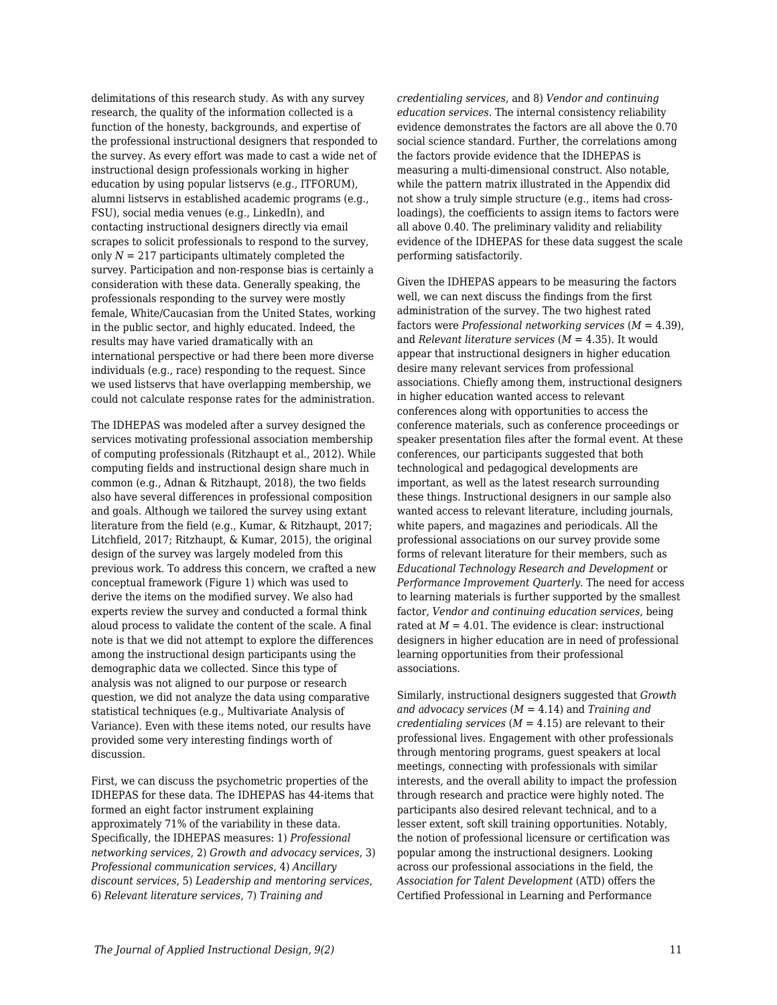delimitations of this research study. As with any survey research, the quality of the information collected is a function of the honesty, backgrounds, and expertise of the professional instructional designers that responded to the survey. As every effort was made to cast a wide net of instructional design professionals working in higher education by using popular listservs (e.g., ITFORUM), alumni listservs in established academic programs (e.g., FSU), social media venues (e.g., LinkedIn), and contacting instructional designers directly via email scrapes to solicit professionals to respond to the survey, only  $N = 217$  participants ultimately completed the survey. Participation and non-response bias is certainly a consideration with these data. Generally speaking, the professionals responding to the survey were mostly female, White/Caucasian from the United States, working in the public sector, and highly educated. Indeed, the results may have varied dramatically with an international perspective or had there been more diverse individuals (e.g., race) responding to the request. Since we used listservs that have overlapping membership, we could not calculate response rates for the administration.

The IDHEPAS was modeled after a survey designed the services motivating professional association membership of computing professionals (Ritzhaupt et al., 2012). While computing fields and instructional design share much in common (e.g., Adnan & Ritzhaupt, 2018), the two fields also have several differences in professional composition and goals. Although we tailored the survey using extant literature from the field (e.g., Kumar, & Ritzhaupt, 2017; Litchfield, 2017; Ritzhaupt, & Kumar, 2015), the original design of the survey was largely modeled from this previous work. To address this concern, we crafted a new conceptual framework (Figure 1) which was used to derive the items on the modified survey. We also had experts review the survey and conducted a formal think aloud process to validate the content of the scale. A final note is that we did not attempt to explore the differences among the instructional design participants using the demographic data we collected. Since this type of analysis was not aligned to our purpose or research question, we did not analyze the data using comparative statistical techniques (e.g., Multivariate Analysis of Variance). Even with these items noted, our results have provided some very interesting findings worth of discussion.

First, we can discuss the psychometric properties of the IDHEPAS for these data. The IDHEPAS has 44-items that formed an eight factor instrument explaining approximately 71% of the variability in these data. Specifically, the IDHEPAS measures: 1) *Professional networking services*, 2) *Growth and advocacy services*, 3) *Professional communication services*, 4) *Ancillary discount services*, 5) *Leadership and mentoring services*, 6) *Relevant literature services*, 7) *Training and*

*credentialing services*, and 8) *Vendor and continuing education services*. The internal consistency reliability evidence demonstrates the factors are all above the 0.70 social science standard. Further, the correlations among the factors provide evidence that the IDHEPAS is measuring a multi-dimensional construct. Also notable, while the pattern matrix illustrated in the Appendix did not show a truly simple structure (e.g., items had crossloadings), the coefficients to assign items to factors were all above 0.40. The preliminary validity and reliability evidence of the IDHEPAS for these data suggest the scale performing satisfactorily.

Given the IDHEPAS appears to be measuring the factors well, we can next discuss the findings from the first administration of the survey. The two highest rated factors were *Professional networking services* (*M* = 4.39), and *Relevant literature services* (*M* = 4.35). It would appear that instructional designers in higher education desire many relevant services from professional associations. Chiefly among them, instructional designers in higher education wanted access to relevant conferences along with opportunities to access the conference materials, such as conference proceedings or speaker presentation files after the formal event. At these conferences, our participants suggested that both technological and pedagogical developments are important, as well as the latest research surrounding these things. Instructional designers in our sample also wanted access to relevant literature, including journals, white papers, and magazines and periodicals. All the professional associations on our survey provide some forms of relevant literature for their members, such as *Educational Technology Research and Development* or *Performance Improvement Quarterly*. The need for access to learning materials is further supported by the smallest factor, *Vendor and continuing education services*, being rated at  $M = 4.01$ . The evidence is clear: instructional designers in higher education are in need of professional learning opportunities from their professional associations.

Similarly, instructional designers suggested that *Growth and advocacy services* (*M* = 4.14) and *Training and credentialing services* (*M* = 4.15) are relevant to their professional lives. Engagement with other professionals through mentoring programs, guest speakers at local meetings, connecting with professionals with similar interests, and the overall ability to impact the profession through research and practice were highly noted. The participants also desired relevant technical, and to a lesser extent, soft skill training opportunities. Notably, the notion of professional licensure or certification was popular among the instructional designers. Looking across our professional associations in the field, the *Association for Talent Development* (ATD) offers the Certified Professional in Learning and Performance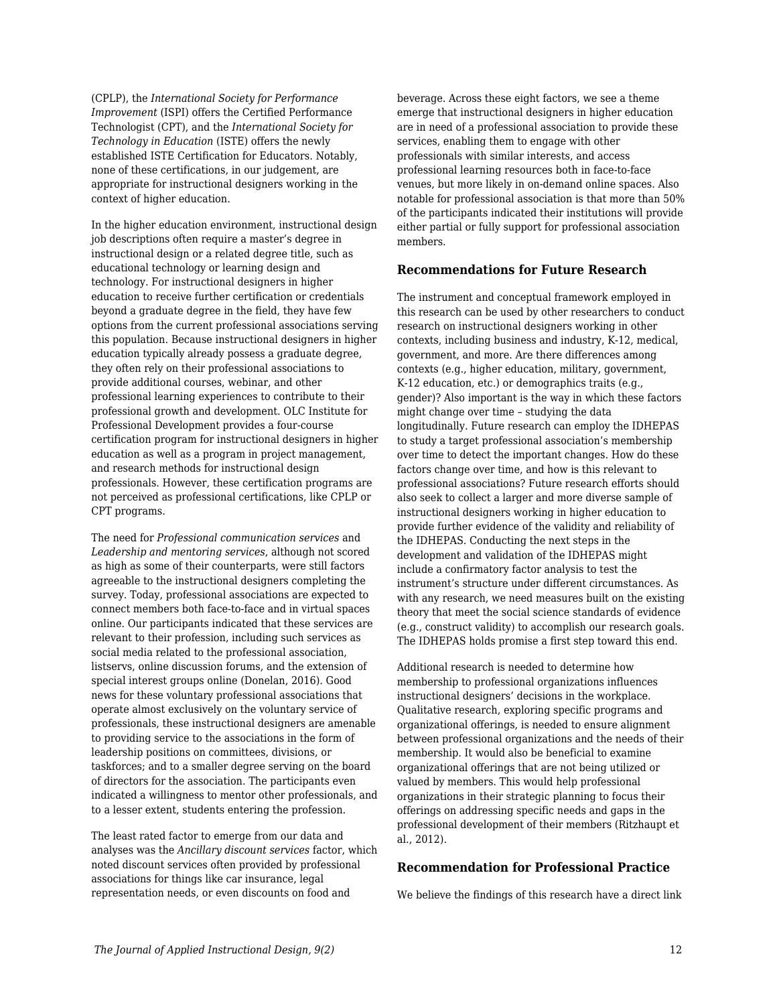(CPLP), the *International Society for Performance Improvement* (ISPI) offers the Certified Performance Technologist (CPT), and the *International Society for Technology in Education* (ISTE) offers the newly established ISTE Certification for Educators. Notably, none of these certifications, in our judgement, are appropriate for instructional designers working in the context of higher education.

In the higher education environment, instructional design job descriptions often require a master's degree in instructional design or a related degree title, such as educational technology or learning design and technology. For instructional designers in higher education to receive further certification or credentials beyond a graduate degree in the field, they have few options from the current professional associations serving this population. Because instructional designers in higher education typically already possess a graduate degree, they often rely on their professional associations to provide additional courses, webinar, and other professional learning experiences to contribute to their professional growth and development. OLC Institute for Professional Development provides a four-course certification program for instructional designers in higher education as well as a program in project management, and research methods for instructional design professionals. However, these certification programs are not perceived as professional certifications, like CPLP or CPT programs.

The need for *Professional communication services* and *Leadership and mentoring services*, although not scored as high as some of their counterparts, were still factors agreeable to the instructional designers completing the survey. Today, professional associations are expected to connect members both face-to-face and in virtual spaces online. Our participants indicated that these services are relevant to their profession, including such services as social media related to the professional association, listservs, online discussion forums, and the extension of special interest groups online (Donelan, 2016). Good news for these voluntary professional associations that operate almost exclusively on the voluntary service of professionals, these instructional designers are amenable to providing service to the associations in the form of leadership positions on committees, divisions, or taskforces; and to a smaller degree serving on the board of directors for the association. The participants even indicated a willingness to mentor other professionals, and to a lesser extent, students entering the profession.

The least rated factor to emerge from our data and analyses was the *Ancillary discount services* factor, which noted discount services often provided by professional associations for things like car insurance, legal representation needs, or even discounts on food and

beverage. Across these eight factors, we see a theme emerge that instructional designers in higher education are in need of a professional association to provide these services, enabling them to engage with other professionals with similar interests, and access professional learning resources both in face-to-face venues, but more likely in on-demand online spaces. Also notable for professional association is that more than 50% of the participants indicated their institutions will provide either partial or fully support for professional association members.

### **Recommendations for Future Research**

The instrument and conceptual framework employed in this research can be used by other researchers to conduct research on instructional designers working in other contexts, including business and industry, K-12, medical, government, and more. Are there differences among contexts (e.g., higher education, military, government, K-12 education, etc.) or demographics traits (e.g., gender)? Also important is the way in which these factors might change over time – studying the data longitudinally. Future research can employ the IDHEPAS to study a target professional association's membership over time to detect the important changes. How do these factors change over time, and how is this relevant to professional associations? Future research efforts should also seek to collect a larger and more diverse sample of instructional designers working in higher education to provide further evidence of the validity and reliability of the IDHEPAS. Conducting the next steps in the development and validation of the IDHEPAS might include a confirmatory factor analysis to test the instrument's structure under different circumstances. As with any research, we need measures built on the existing theory that meet the social science standards of evidence (e.g., construct validity) to accomplish our research goals. The IDHEPAS holds promise a first step toward this end.

Additional research is needed to determine how membership to professional organizations influences instructional designers' decisions in the workplace. Qualitative research, exploring specific programs and organizational offerings, is needed to ensure alignment between professional organizations and the needs of their membership. It would also be beneficial to examine organizational offerings that are not being utilized or valued by members. This would help professional organizations in their strategic planning to focus their offerings on addressing specific needs and gaps in the professional development of their members (Ritzhaupt et al., 2012).

### **Recommendation for Professional Practice**

We believe the findings of this research have a direct link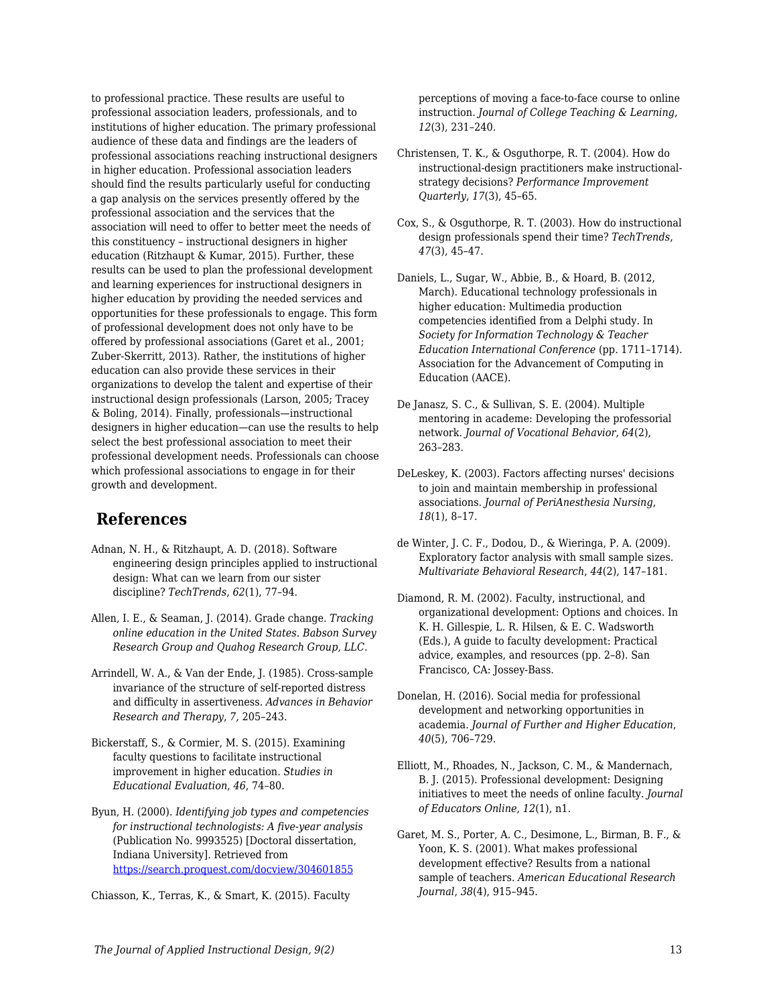to professional practice. These results are useful to professional association leaders, professionals, and to institutions of higher education. The primary professional audience of these data and findings are the leaders of professional associations reaching instructional designers in higher education. Professional association leaders should find the results particularly useful for conducting a gap analysis on the services presently offered by the professional association and the services that the association will need to offer to better meet the needs of this constituency – instructional designers in higher education (Ritzhaupt & Kumar, 2015). Further, these results can be used to plan the professional development and learning experiences for instructional designers in higher education by providing the needed services and opportunities for these professionals to engage. This form of professional development does not only have to be offered by professional associations (Garet et al., 2001; Zuber-Skerritt, 2013). Rather, the institutions of higher education can also provide these services in their organizations to develop the talent and expertise of their instructional design professionals (Larson, 2005; Tracey & Boling, 2014). Finally, professionals—instructional designers in higher education—can use the results to help select the best professional association to meet their professional development needs. Professionals can choose which professional associations to engage in for their growth and development.

## **References**

- Adnan, N. H., & Ritzhaupt, A. D. (2018). Software engineering design principles applied to instructional design: What can we learn from our sister discipline? *TechTrends*, *62*(1), 77–94.
- Allen, I. E., & Seaman, J. (2014). Grade change. *Tracking online education in the United States. Babson Survey Research Group and Quahog Research Group, LLC*.
- Arrindell, W. A., & Van der Ende, J. (1985). Cross-sample invariance of the structure of self-reported distress and difficulty in assertiveness. *Advances in Behavior Research and Therapy*, *7*, 205–243.
- Bickerstaff, S., & Cormier, M. S. (2015). Examining faculty questions to facilitate instructional improvement in higher education. *Studies in Educational Evaluation*, *46*, 74–80.
- Byun, H. (2000). *Identifying job types and competencies for instructional technologists: A five-year analysis* (Publication No. 9993525) [Doctoral dissertation, Indiana University]. Retrieved from <https://search.proquest.com/docview/304601855>

Chiasson, K., Terras, K., & Smart, K. (2015). Faculty

perceptions of moving a face-to-face course to online instruction. *Journal of College Teaching & Learning*, *12*(3), 231–240.

- Christensen, T. K., & Osguthorpe, R. T. (2004). How do instructional-design practitioners make instructionalstrategy decisions? *Performance Improvement Quarterly*, *17*(3), 45–65.
- Cox, S., & Osguthorpe, R. T. (2003). How do instructional design professionals spend their time? *TechTrends*, *47*(3), 45–47.
- Daniels, L., Sugar, W., Abbie, B., & Hoard, B. (2012, March). Educational technology professionals in higher education: Multimedia production competencies identified from a Delphi study. In *Society for Information Technology & Teacher Education International Conference* (pp. 1711–1714). Association for the Advancement of Computing in Education (AACE).
- De Janasz, S. C., & Sullivan, S. E. (2004). Multiple mentoring in academe: Developing the professorial network. *Journal of Vocational Behavior*, *64*(2), 263–283.
- DeLeskey, K. (2003). Factors affecting nurses' decisions to join and maintain membership in professional associations. *Journal of PeriAnesthesia Nursing*, *18*(1), 8–17.
- de Winter, J. C. F., Dodou, D., & Wieringa, P. A. (2009). Exploratory factor analysis with small sample sizes. *Multivariate Behavioral Research*, *44*(2), 147–181.
- Diamond, R. M. (2002). Faculty, instructional, and organizational development: Options and choices. In K. H. Gillespie, L. R. Hilsen, & E. C. Wadsworth (Eds.), A guide to faculty development: Practical advice, examples, and resources (pp. 2–8). San Francisco, CA: Jossey-Bass.
- Donelan, H. (2016). Social media for professional development and networking opportunities in academia. *Journal of Further and Higher Education*, *40*(5), 706–729.
- Elliott, M., Rhoades, N., Jackson, C. M., & Mandernach, B. J. (2015). Professional development: Designing initiatives to meet the needs of online faculty. *Journal of Educators Online*, *12*(1), n1.
- Garet, M. S., Porter, A. C., Desimone, L., Birman, B. F., & Yoon, K. S. (2001). What makes professional development effective? Results from a national sample of teachers. *American Educational Research Journal*, *38*(4), 915–945.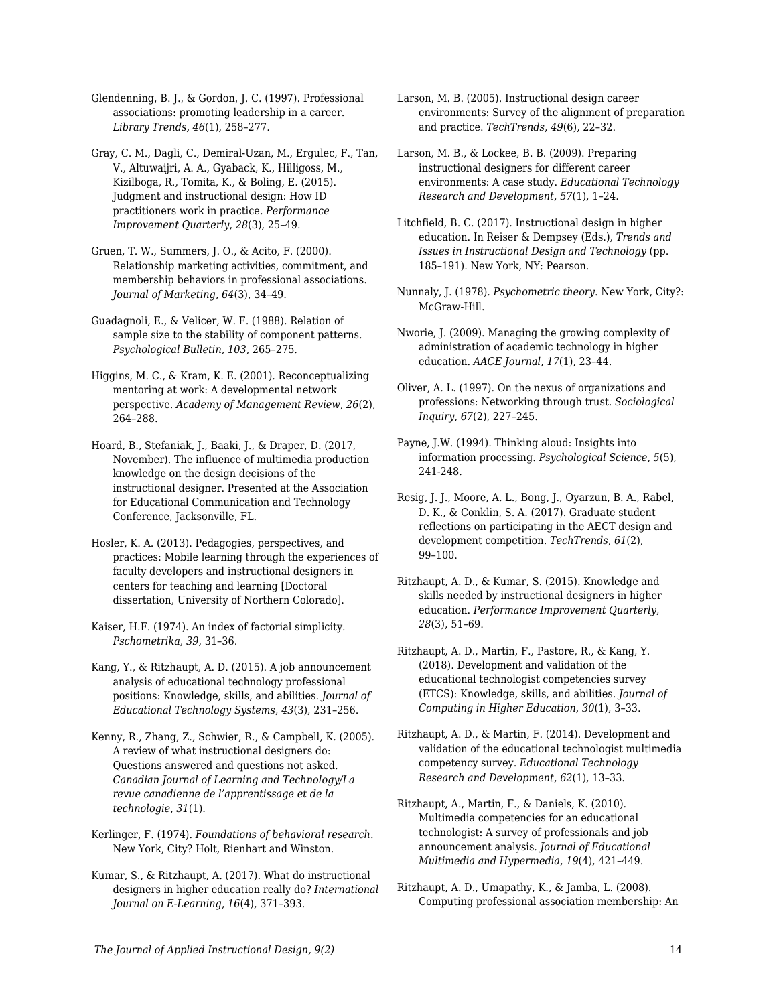Glendenning, B. J., & Gordon, J. C. (1997). Professional associations: promoting leadership in a career. *Library Trends, 46*(1), 258–277.

Gray, C. M., Dagli, C., Demiral-Uzan, M., Ergulec, F., Tan, V., Altuwaijri, A. A., Gyaback, K., Hilligoss, M., Kizilboga, R., Tomita, K., & Boling, E. (2015). Judgment and instructional design: How ID practitioners work in practice. *Performance Improvement Quarterly*, *28*(3), 25–49.

Gruen, T. W., Summers, J. O., & Acito, F. (2000). Relationship marketing activities, commitment, and membership behaviors in professional associations. *Journal of Marketing*, *64*(3), 34–49.

Guadagnoli, E., & Velicer, W. F. (1988). Relation of sample size to the stability of component patterns. *Psychological Bulletin, 103*, 265–275.

Higgins, M. C., & Kram, K. E. (2001). Reconceptualizing mentoring at work: A developmental network perspective. *Academy of Management Review*, *26*(2), 264–288.

Hoard, B., Stefaniak, J., Baaki, J., & Draper, D. (2017, November). The influence of multimedia production knowledge on the design decisions of the instructional designer. Presented at the Association for Educational Communication and Technology Conference, Jacksonville, FL.

Hosler, K. A. (2013). Pedagogies, perspectives, and practices: Mobile learning through the experiences of faculty developers and instructional designers in centers for teaching and learning [Doctoral dissertation, University of Northern Colorado].

Kaiser, H.F. (1974). An index of factorial simplicity. *Pschometrika*, *39*, 31–36.

Kang, Y., & Ritzhaupt, A. D. (2015). A job announcement analysis of educational technology professional positions: Knowledge, skills, and abilities. *Journal of Educational Technology Systems*, *43*(3), 231–256.

Kenny, R., Zhang, Z., Schwier, R., & Campbell, K. (2005). A review of what instructional designers do: Questions answered and questions not asked. *Canadian Journal of Learning and Technology/La revue canadienne de l'apprentissage et de la technologie*, *31*(1).

Kerlinger, F. (1974). *Foundations of behavioral research*. New York, City? Holt, Rienhart and Winston.

Kumar, S., & Ritzhaupt, A. (2017). What do instructional designers in higher education really do? *International Journal on E-Learning*, *16*(4), 371–393.

Larson, M. B. (2005). Instructional design career environments: Survey of the alignment of preparation and practice. *TechTrends*, *49*(6), 22–32.

Larson, M. B., & Lockee, B. B. (2009). Preparing instructional designers for different career environments: A case study. *Educational Technology Research and Development*, *57*(1), 1–24.

Litchfield, B. C. (2017). Instructional design in higher education. In Reiser & Dempsey (Eds.), *Trends and Issues in Instructional Design and Technology* (pp. 185–191). New York, NY: Pearson.

Nunnaly, J. (1978). *Psychometric theory*. New York, City?: McGraw-Hill.

Nworie, J. (2009). Managing the growing complexity of administration of academic technology in higher education. *AACE Journal*, *17*(1), 23–44.

Oliver, A. L. (1997). On the nexus of organizations and professions: Networking through trust. *Sociological Inquiry*, *67*(2), 227–245.

Payne, J.W. (1994). Thinking aloud: Insights into information processing. *Psychological Science*, *5*(5), 241-248.

Resig, J. J., Moore, A. L., Bong, J., Oyarzun, B. A., Rabel, D. K., & Conklin, S. A. (2017). Graduate student reflections on participating in the AECT design and development competition. *TechTrends*, *61*(2), 99–100.

Ritzhaupt, A. D., & Kumar, S. (2015). Knowledge and skills needed by instructional designers in higher education. *Performance Improvement Quarterly*, *28*(3), 51–69.

Ritzhaupt, A. D., Martin, F., Pastore, R., & Kang, Y. (2018). Development and validation of the educational technologist competencies survey (ETCS): Knowledge, skills, and abilities. *Journal of Computing in Higher Education*, *30*(1), 3–33.

Ritzhaupt, A. D., & Martin, F. (2014). Development and validation of the educational technologist multimedia competency survey. *Educational Technology Research and Development*, *62*(1), 13–33.

Ritzhaupt, A., Martin, F., & Daniels, K. (2010). Multimedia competencies for an educational technologist: A survey of professionals and job announcement analysis. *Journal of Educational Multimedia and Hypermedia*, *19*(4), 421–449.

Ritzhaupt, A. D., Umapathy, K., & Jamba, L. (2008). Computing professional association membership: An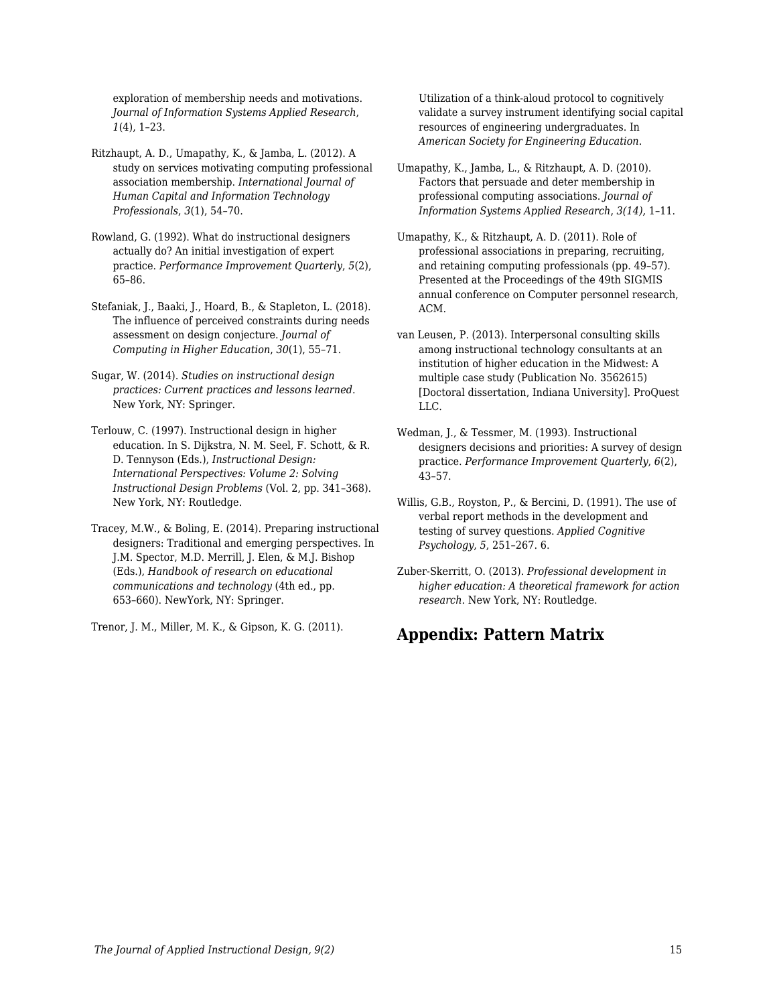exploration of membership needs and motivations. *Journal of Information Systems Applied Research*, *1*(4), 1–23.

- Ritzhaupt, A. D., Umapathy, K., & Jamba, L. (2012). A study on services motivating computing professional association membership. *International Journal of Human Capital and Information Technology Professionals*, *3*(1), 54–70.
- Rowland, G. (1992). What do instructional designers actually do? An initial investigation of expert practice. *Performance Improvement Quarterly*, *5*(2), 65–86.
- Stefaniak, J., Baaki, J., Hoard, B., & Stapleton, L. (2018). The influence of perceived constraints during needs assessment on design conjecture. *Journal of Computing in Higher Education*, *30*(1), 55–71.
- Sugar, W. (2014). *Studies on instructional design practices: Current practices and lessons learned*. New York, NY: Springer.
- Terlouw, C. (1997). Instructional design in higher education. In S. Dijkstra, N. M. Seel, F. Schott, & R. D. Tennyson (Eds.), *Instructional Design: International Perspectives: Volume 2: Solving Instructional Design Problems* (Vol. 2, pp. 341–368). New York, NY: Routledge.
- Tracey, M.W., & Boling, E. (2014). Preparing instructional designers: Traditional and emerging perspectives. In J.M. Spector, M.D. Merrill, J. Elen, & M.J. Bishop (Eds.), *Handbook of research on educational communications and technology* (4th ed., pp. 653–660). NewYork, NY: Springer.

Trenor, J. M., Miller, M. K., & Gipson, K. G. (2011).

Utilization of a think-aloud protocol to cognitively validate a survey instrument identifying social capital resources of engineering undergraduates. In *American Society for Engineering Education*.

- Umapathy, K., Jamba, L., & Ritzhaupt, A. D. (2010). Factors that persuade and deter membership in professional computing associations. *Journal of Information Systems Applied Research*, *3(14),* 1–11.
- Umapathy, K., & Ritzhaupt, A. D. (2011). Role of professional associations in preparing, recruiting, and retaining computing professionals (pp. 49–57). Presented at the Proceedings of the 49th SIGMIS annual conference on Computer personnel research, ACM.
- van Leusen, P. (2013). Interpersonal consulting skills among instructional technology consultants at an institution of higher education in the Midwest: A multiple case study (Publication No. 3562615) [Doctoral dissertation, Indiana University]. ProQuest LLC.
- Wedman, J., & Tessmer, M. (1993). Instructional designers decisions and priorities: A survey of design practice. *Performance Improvement Quarterly*, *6*(2), 43–57.
- Willis, G.B., Royston, P., & Bercini, D. (1991). The use of verbal report methods in the development and testing of survey questions. *Applied Cognitive Psychology*, *5*, 251–267. 6.
- Zuber-Skerritt, O. (2013). *Professional development in higher education: A theoretical framework for action research*. New York, NY: Routledge.

## **Appendix: Pattern Matrix**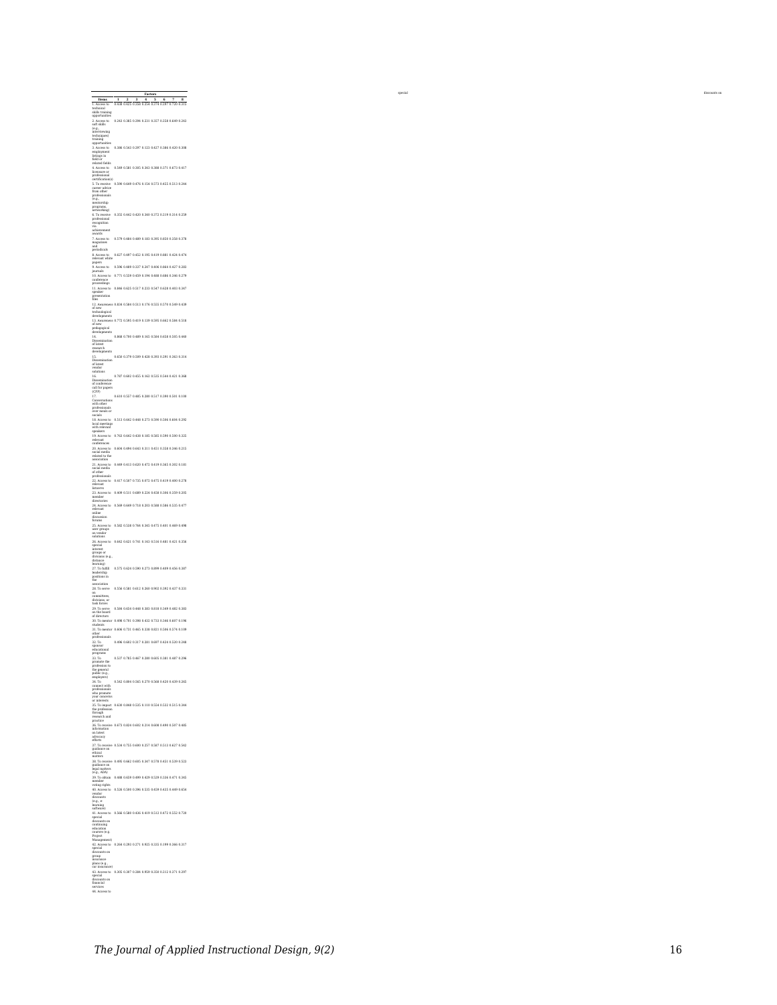| Items                                                                                                                                                                                                                                                                                                                                                                                     | $\mathbf{I}$<br>3<br>8<br>2<br>4<br>5<br>6<br>0.438 0.425 0.358 0.254 0.374 0.297 0.720 0.315                                                                                                                                              |
|-------------------------------------------------------------------------------------------------------------------------------------------------------------------------------------------------------------------------------------------------------------------------------------------------------------------------------------------------------------------------------------------|--------------------------------------------------------------------------------------------------------------------------------------------------------------------------------------------------------------------------------------------|
| 1. Access to<br>technical<br>skills trainin<br>opportunitie<br>ģ                                                                                                                                                                                                                                                                                                                          |                                                                                                                                                                                                                                            |
| 2. Access to<br>soft skills                                                                                                                                                                                                                                                                                                                                                               | 0.243 0.385 0.294 0.231 0.357 0.258 0.649 0.243                                                                                                                                                                                            |
| (e.g.,<br>interviewing<br>techniques)                                                                                                                                                                                                                                                                                                                                                     |                                                                                                                                                                                                                                            |
| training<br>opportunit                                                                                                                                                                                                                                                                                                                                                                    |                                                                                                                                                                                                                                            |
| 3. Access to<br>employment<br>listings in<br>field or                                                                                                                                                                                                                                                                                                                                     | 0.386 0.543 0.297 0.123 0.427 0.386 0.420 0.308                                                                                                                                                                                            |
| related fields                                                                                                                                                                                                                                                                                                                                                                            |                                                                                                                                                                                                                                            |
| 4. Access to<br>licensure or<br>professional<br>certification(s)                                                                                                                                                                                                                                                                                                                          | 0.549 0.581 0.305 0.343 0.388 0.371 0.673 0.417                                                                                                                                                                                            |
|                                                                                                                                                                                                                                                                                                                                                                                           | 0.590 0.649 0.476 0.154 0.573 0.455 0.513 0.244                                                                                                                                                                                            |
|                                                                                                                                                                                                                                                                                                                                                                                           |                                                                                                                                                                                                                                            |
| 5. To receive<br>career advice<br>from other<br>professionals<br>(e.g.,<br>mentorship<br>measures                                                                                                                                                                                                                                                                                         |                                                                                                                                                                                                                                            |
| programs,<br>networking)                                                                                                                                                                                                                                                                                                                                                                  | 0.355 0.442 0.420 0.340 0.372 0.219 0.314 0.259                                                                                                                                                                                            |
| <b>6.</b> To receive<br>professional<br>recognition<br>via<br>achievement                                                                                                                                                                                                                                                                                                                 |                                                                                                                                                                                                                                            |
| ent<br>ü<br>rards                                                                                                                                                                                                                                                                                                                                                                         |                                                                                                                                                                                                                                            |
| 7. Access to<br>magazines                                                                                                                                                                                                                                                                                                                                                                 | 0.579 0.484 0.489 0.183 0.395 0.850 0.358 0.378                                                                                                                                                                                            |
| and<br>periodicals                                                                                                                                                                                                                                                                                                                                                                        |                                                                                                                                                                                                                                            |
| 8. Access to<br>relevant white<br>papers                                                                                                                                                                                                                                                                                                                                                  | 0.627 0.497 0.452 0.195 0.419 0.881 0.424 0.474                                                                                                                                                                                            |
| 9. Access to<br>journals                                                                                                                                                                                                                                                                                                                                                                  | 0.596 0.489 0.337 0.247 0.406 0.864 0.427 0.283                                                                                                                                                                                            |
| 10. Access to<br>conference<br>proceedings                                                                                                                                                                                                                                                                                                                                                | 0.771 0.559 0.459 0.194 0.488 0.686 0.346 0.279                                                                                                                                                                                            |
| 11. Access to<br>speaker                                                                                                                                                                                                                                                                                                                                                                  | 0.846 0.625 0.517 0.233 0.547 0.628 0.403 0.347                                                                                                                                                                                            |
| presentation<br>files                                                                                                                                                                                                                                                                                                                                                                     |                                                                                                                                                                                                                                            |
|                                                                                                                                                                                                                                                                                                                                                                                           | areness 0.834 0.584 0.513 0.176 0.555 0.570 0.549 0.<br>439                                                                                                                                                                                |
|                                                                                                                                                                                                                                                                                                                                                                                           | 13. Awareness 0.772 0.595 0.419 0.139 0.595 0.662 0.584 0.518                                                                                                                                                                              |
| of new<br>pedagogical<br>developments                                                                                                                                                                                                                                                                                                                                                     |                                                                                                                                                                                                                                            |
|                                                                                                                                                                                                                                                                                                                                                                                           | 0.868 0.700 0.489 0.165 0.584 0.658 0.505 0.440                                                                                                                                                                                            |
| déveloped<br>14.<br>Dissemination<br>of latest<br>research<br>developments                                                                                                                                                                                                                                                                                                                |                                                                                                                                                                                                                                            |
| 15.                                                                                                                                                                                                                                                                                                                                                                                       | 0.650 0.379 0.509 0.428 0.393 0.291 0.363 0.314                                                                                                                                                                                            |
| Dissemination<br>of latest<br>vendor<br>solutions                                                                                                                                                                                                                                                                                                                                         |                                                                                                                                                                                                                                            |
|                                                                                                                                                                                                                                                                                                                                                                                           | 0.787 0.602 0.455 0.162 0.535 0.544 0.421 0.368                                                                                                                                                                                            |
|                                                                                                                                                                                                                                                                                                                                                                                           |                                                                                                                                                                                                                                            |
|                                                                                                                                                                                                                                                                                                                                                                                           | 0.610 0.557 0.485 0.280 0.517 0.390 0.501 0.100                                                                                                                                                                                            |
| (Ca., )<br>17.<br>Conversations<br>with other<br>professionals<br>over meals or<br>socials<br>$\sim$ socials                                                                                                                                                                                                                                                                              |                                                                                                                                                                                                                                            |
|                                                                                                                                                                                                                                                                                                                                                                                           | 0.513 0.642 0.448 0.273 0.590 0.506 0.604 0.292                                                                                                                                                                                            |
|                                                                                                                                                                                                                                                                                                                                                                                           |                                                                                                                                                                                                                                            |
|                                                                                                                                                                                                                                                                                                                                                                                           | 0.763 0.642 0.438 0.185 0.585 0.590 0.500 0.325                                                                                                                                                                                            |
| socials<br>18. Access to<br>local meetings<br>with relevant<br>speakers<br>19. Access to<br>conferences<br>20. Access to                                                                                                                                                                                                                                                                  | 0.604 0.494 0.643 0.311 0.451 0.358 0.346 0.215                                                                                                                                                                                            |
| 20. Access to<br>social media<br>related to the                                                                                                                                                                                                                                                                                                                                           |                                                                                                                                                                                                                                            |
| association                                                                                                                                                                                                                                                                                                                                                                               | 0.449 0.413 0.620 0.472 0.419 0.3<br>5 0.302 0.181                                                                                                                                                                                         |
| 21. Access to<br>social media<br>of other<br>professionals                                                                                                                                                                                                                                                                                                                                |                                                                                                                                                                                                                                            |
| 22. Access to<br>relevant<br>listservs                                                                                                                                                                                                                                                                                                                                                    | 0.417 0.507 0.735 0.072 0.475 0.419 0.400 0.278                                                                                                                                                                                            |
| 23. Access to<br>member<br>directories                                                                                                                                                                                                                                                                                                                                                    | 0.409 0.511 0.689 0.224 0.458 0.306 0.359 0.205                                                                                                                                                                                            |
|                                                                                                                                                                                                                                                                                                                                                                                           | 0.569 0.649 0.718 0.203 0.588 0.586 0.535 0.477                                                                                                                                                                                            |
| 24. Access to<br>relevant<br>online<br>sio                                                                                                                                                                                                                                                                                                                                                |                                                                                                                                                                                                                                            |
| discuss<br>forums<br>i to                                                                                                                                                                                                                                                                                                                                                                 | 0.582 0.538 0.76<br>4 0.345 0.475 0.401 0.                                                                                                                                                                                                 |
| 25. Access t<br>user groups<br>on vender<br>solutions                                                                                                                                                                                                                                                                                                                                     |                                                                                                                                                                                                                                            |
| 26. Access to<br>special<br>interest                                                                                                                                                                                                                                                                                                                                                      | 0.642 0.621 0.741 0.143 0.516 0.481 0.421 0.356                                                                                                                                                                                            |
| groups or<br>divisions (e.g.                                                                                                                                                                                                                                                                                                                                                              |                                                                                                                                                                                                                                            |
| distance<br>learning)                                                                                                                                                                                                                                                                                                                                                                     |                                                                                                                                                                                                                                            |
| 27. To fulfill<br>leadership<br>positions in                                                                                                                                                                                                                                                                                                                                              | 0.575 0.624 0.590 0.273 0.899 0.409 0.456 0.387                                                                                                                                                                                            |
| pos<br>the<br>riation                                                                                                                                                                                                                                                                                                                                                                     |                                                                                                                                                                                                                                            |
| 28. To serve<br>on                                                                                                                                                                                                                                                                                                                                                                        | 0.556 0.581 0.612 0.260 0.902 0.392 0.437 0.331                                                                                                                                                                                            |
| committees,<br>divisions, or<br>task forces                                                                                                                                                                                                                                                                                                                                               |                                                                                                                                                                                                                                            |
| 29. To serve<br>on the board<br>of directors<br>on<br>of c                                                                                                                                                                                                                                                                                                                                | 0.584 0.654 0.448 0.383 0.818 0.349 0.482 0.383                                                                                                                                                                                            |
| 30. To mentor                                                                                                                                                                                                                                                                                                                                                                             | 0.498 0.701 0.398 0.432 0.733 0.346 0.607 0.196                                                                                                                                                                                            |
| students                                                                                                                                                                                                                                                                                                                                                                                  | 31. To menter 0.606 0.731 0.465 0.338 0.821 0.506 0.574 0.109<br>other professionals                                                                                                                                                       |
|                                                                                                                                                                                                                                                                                                                                                                                           | 0.496 0.602 0.317 0.281 0.697 0.424 0.520 0.248                                                                                                                                                                                            |
| 32. To<br>sponsor<br>educational                                                                                                                                                                                                                                                                                                                                                          |                                                                                                                                                                                                                                            |
| $\begin{array}{l} \mbox{eductional} \\ \mbox{gragams} \\ \mbox{33. To} \\ \mbox{premote the} \\ \mbox{premotes} \\ \mbox{the} \\ \mbox{the} \\ \mbox{g}- \\ \mbox{pubits} \\ \mbox{(e.g.,} \\ \mbox{empolyers}) \\ \mbox{34. To} \\ \mbox{premotes} \\ \mbox{the} \\ \mbox{general} \\ \mbox{by} \\ \mbox{premotes} \\ \mbox{or} \\ \mbox{interrest} \\ \mbox{35. To impact} \end{array}$ | 0.537 0.785 0.467 0.280 0.605 0.381 0.487 0.296                                                                                                                                                                                            |
|                                                                                                                                                                                                                                                                                                                                                                                           |                                                                                                                                                                                                                                            |
|                                                                                                                                                                                                                                                                                                                                                                                           | 0.542 0.804 0.565 0.270 0.568 0.420 0.439 0.265                                                                                                                                                                                            |
|                                                                                                                                                                                                                                                                                                                                                                                           |                                                                                                                                                                                                                                            |
|                                                                                                                                                                                                                                                                                                                                                                                           |                                                                                                                                                                                                                                            |
|                                                                                                                                                                                                                                                                                                                                                                                           | <br>15. To impact - 0.630 0.848 0.535 0.110 0.554 0.532 0.515 0.344<br>the profession<br>research and                                                                                                                                      |
| practice                                                                                                                                                                                                                                                                                                                                                                                  |                                                                                                                                                                                                                                            |
|                                                                                                                                                                                                                                                                                                                                                                                           | acucer<br>- To receive: 0.673 0.824 0.602 0.214 0.608 0.490 0.507 0.485<br> ormation                                                                                                                                                       |
| process<br>36. To re<br>informat<br>on latest<br>advocacy<br>efforts                                                                                                                                                                                                                                                                                                                      |                                                                                                                                                                                                                                            |
|                                                                                                                                                                                                                                                                                                                                                                                           | 37. To receive 0.534 0.755 0.600 0.257 0.587 0.513 0.627 0.542<br>guidance on                                                                                                                                                              |
| chical<br>matters                                                                                                                                                                                                                                                                                                                                                                         |                                                                                                                                                                                                                                            |
|                                                                                                                                                                                                                                                                                                                                                                                           |                                                                                                                                                                                                                                            |
|                                                                                                                                                                                                                                                                                                                                                                                           | mauers<br>28. To receive 0.495 0.662 0.605 0.347 0.578 0.451 0.539 0.5<br>guidance on<br>(e.g., ADA)<br>29. To chain 0.488 0.659 0.499 0.429 0.529 0.336 0.471 0.3<br>29. To chain 0.488 0.659 0.499 0.429 0.529 0.336 0.471 0.3<br>mimber |
| voting rights                                                                                                                                                                                                                                                                                                                                                                             | 0.488 0.659 0.499 0.429 0.529 0.336 0.471 0.345                                                                                                                                                                                            |
| .<br>is to                                                                                                                                                                                                                                                                                                                                                                                | 0.526 0.500 0.396 0.535 0.459 0.435 0.449 0.654                                                                                                                                                                                            |
| voung ray<br>40. Acces<br>vendor<br>discounts<br>(e.g., e-<br>learning<br>software)                                                                                                                                                                                                                                                                                                       |                                                                                                                                                                                                                                            |
| 41. Access to                                                                                                                                                                                                                                                                                                                                                                             | 0.566 0.580 0.436 0.419 0.512 0.472 0.552 0.720                                                                                                                                                                                            |
| special<br>discounts on                                                                                                                                                                                                                                                                                                                                                                   |                                                                                                                                                                                                                                            |
| continuing                                                                                                                                                                                                                                                                                                                                                                                |                                                                                                                                                                                                                                            |
| education<br>courses (e.g.<br>Project<br>Management<br>ent)                                                                                                                                                                                                                                                                                                                               |                                                                                                                                                                                                                                            |
| 42. Access to<br>special<br>discounts on                                                                                                                                                                                                                                                                                                                                                  | 0.264 0.293 0.271 0.925 0.335 0.199 0.366 0.317                                                                                                                                                                                            |
| group<br>insuranc                                                                                                                                                                                                                                                                                                                                                                         |                                                                                                                                                                                                                                            |
| plans (e.g.,<br>car insurance)                                                                                                                                                                                                                                                                                                                                                            | 0.305 0.307 0.284 0.959 0.350 0.212 0.371 0.297                                                                                                                                                                                            |
| car insurance<br>43. Access to<br>special<br>discounts on<br>financial<br>services                                                                                                                                                                                                                                                                                                        |                                                                                                                                                                                                                                            |
|                                                                                                                                                                                                                                                                                                                                                                                           |                                                                                                                                                                                                                                            |
| 44.<br>Access to                                                                                                                                                                                                                                                                                                                                                                          |                                                                                                                                                                                                                                            |